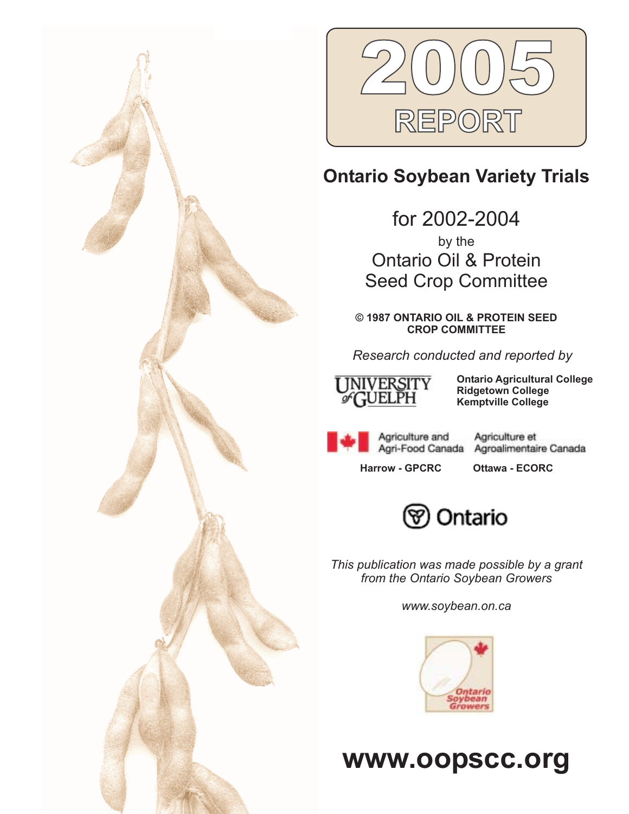



# **Ontario Soybean Variety Trials**

for 2002-2004 by the Ontario Oil & Protein Seed Crop Committee

**© 1987 ONTARIO OIL & PROTEIN SEED CROP COMMITTEE**

*Research conducted and reported by*



**Ontario Agricultural College Ridgetown College Kemptville College**

Agriculture and Agri-Food Canada

Agroalimentaire Canada

**Harrow - GPCRC Ottawa - ECORC**

Agriculture et



*This publication was made possible by a grant from the Ontario Soybean Growers*

*www.soybean.on.ca*



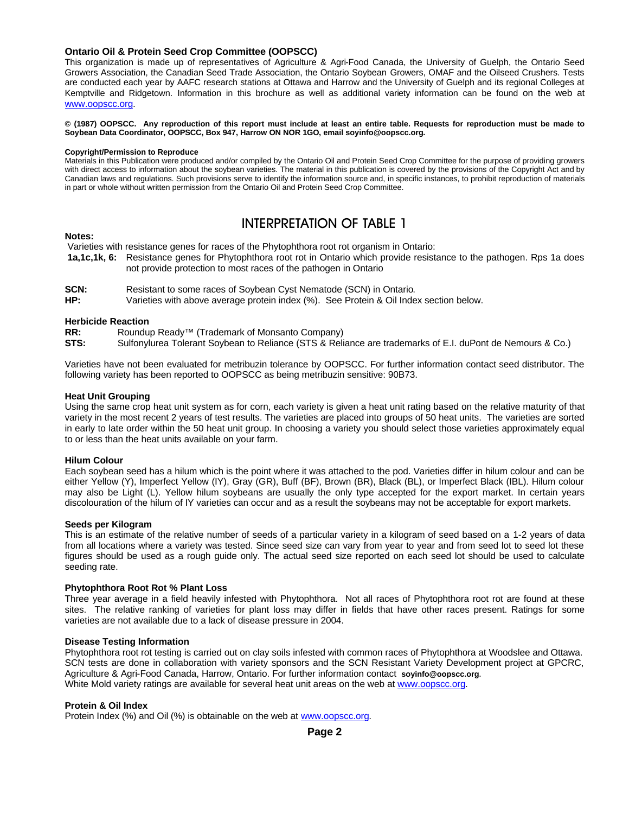### **Ontario Oil & Protein Seed Crop Committee (OOPSCC)**

This organization is made up of representatives of Agriculture & Agri-Food Canada, the University of Guelph, the Ontario Seed Growers Association, the Canadian Seed Trade Association, the Ontario Soybean Growers, OMAF and the Oilseed Crushers. Tests are conducted each year by AAFC research stations at Ottawa and Harrow and the University of Guelph and its regional Colleges at Kemptville and Ridgetown. Information in this brochure as well as additional variety information can be found on the web at www.oopscc.org.

**© (1987) OOPSCC. Any reproduction of this report must include at least an entire table. Requests for reproduction must be made to Soybean Data Coordinator, OOPSCC, Box 947, Harrow ON NOR 1GO, email soyinfo@oopscc.org.**

#### **Copyright/Permission to Reproduce**

Materials in this Publication were produced and/or compiled by the Ontario Oil and Protein Seed Crop Committee for the purpose of providing growers with direct access to information about the soybean varieties. The material in this publication is covered by the provisions of the Copyright Act and by Canadian laws and regulations. Such provisions serve to identify the information source and, in specific instances, to prohibit reproduction of materials in part or whole without written permission from the Ontario Oil and Protein Seed Crop Committee.

# INTERPRETATION OF TABLE 1

### **Notes:**

Varieties with resistance genes for races of the Phytophthora root rot organism in Ontario:

- **1a,1c,1k, 6:** Resistance genes for Phytophthora root rot in Ontario which provide resistance to the pathogen. Rps 1a does not provide protection to most races of the pathogen in Ontario
- **SCN:** Resistant to some races of Soybean Cyst Nematode (SCN) in Ontario.

**HP:** Varieties with above average protein index (%). See Protein & Oil Index section below.

### **Herbicide Reaction**

- **RR:** Roundup Ready™ (Trademark of Monsanto Company)
- **STS:** Sulfonylurea Tolerant Soybean to Reliance (STS & Reliance are trademarks of E.I. duPont de Nemours & Co.)

Varieties have not been evaluated for metribuzin tolerance by OOPSCC. For further information contact seed distributor. The following variety has been reported to OOPSCC as being metribuzin sensitive: 90B73.

### **Heat Unit Grouping**

Using the same crop heat unit system as for corn, each variety is given a heat unit rating based on the relative maturity of that variety in the most recent 2 years of test results. The varieties are placed into groups of 50 heat units. The varieties are sorted in early to late order within the 50 heat unit group. In choosing a variety you should select those varieties approximately equal to or less than the heat units available on your farm.

### **Hilum Colour**

Each soybean seed has a hilum which is the point where it was attached to the pod. Varieties differ in hilum colour and can be either Yellow (Y), Imperfect Yellow (IY), Gray (GR), Buff (BF), Brown (BR), Black (BL), or Imperfect Black (IBL). Hilum colour may also be Light (L). Yellow hilum soybeans are usually the only type accepted for the export market. In certain years discolouration of the hilum of IY varieties can occur and as a result the soybeans may not be acceptable for export markets.

### **Seeds per Kilogram**

This is an estimate of the relative number of seeds of a particular variety in a kilogram of seed based on a 1-2 years of data from all locations where a variety was tested. Since seed size can vary from year to year and from seed lot to seed lot these figures should be used as a rough guide only. The actual seed size reported on each seed lot should be used to calculate seeding rate.

### **Phytophthora Root Rot % Plant Loss**

Three year average in a field heavily infested with Phytophthora. Not all races of Phytophthora root rot are found at these sites. The relative ranking of varieties for plant loss may differ in fields that have other races present. Ratings for some varieties are not available due to a lack of disease pressure in 2004.

### **Disease Testing Information**

Phytophthora root rot testing is carried out on clay soils infested with common races of Phytophthora at Woodslee and Ottawa. SCN tests are done in collaboration with variety sponsors and the SCN Resistant Variety Development project at GPCRC, Agriculture & Agri-Food Canada, Harrow, Ontario. For further information contact **soyinfo@oopscc.org**. White Mold variety ratings are available for several heat unit areas on the web at www.oopscc.org.

### **Protein & Oil Index**

Protein Index (%) and Oil (%) is obtainable on the web at www.oopscc.org.

**Page 2**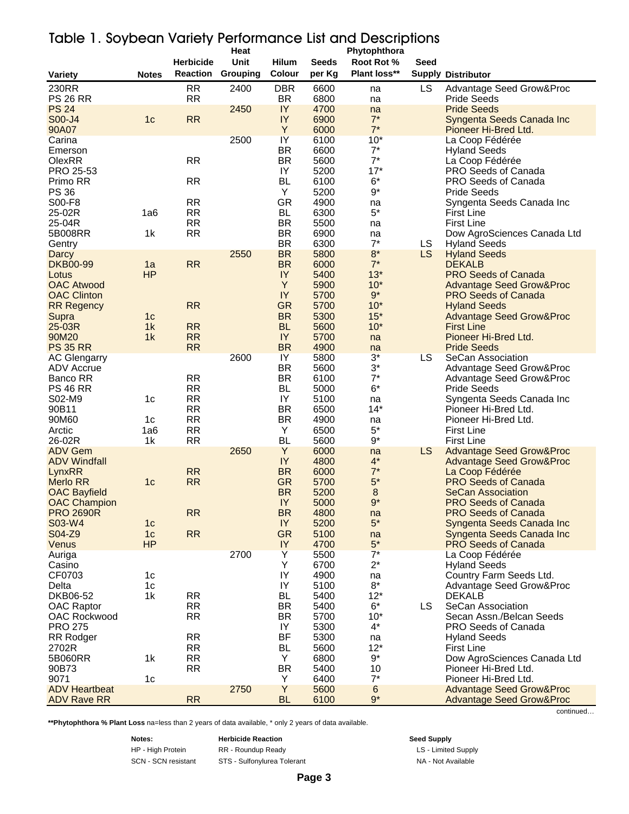| <u>idue 1. Joydedii valiely religibilitatice Lisi dila Descriptions</u> |                                  |                        | Heat     |                        |              | Phytophthora        |             |                                                             |
|-------------------------------------------------------------------------|----------------------------------|------------------------|----------|------------------------|--------------|---------------------|-------------|-------------------------------------------------------------|
|                                                                         |                                  | <b>Herbicide</b>       | Unit     | <b>Hilum</b>           | <b>Seeds</b> | Root Rot %          | <b>Seed</b> |                                                             |
| <b>Variety</b>                                                          | <b>Notes</b>                     | <b>Reaction</b>        | Grouping | Colour                 | per Kg       | Plant loss**        |             | <b>Supply Distributor</b>                                   |
| 230RR                                                                   |                                  | <b>RR</b>              | 2400     | <b>DBR</b>             | 6600         | na                  | LS          | Advantage Seed Grow&Proc                                    |
| <b>PS 26 RR</b>                                                         |                                  | <b>RR</b>              |          | BR.                    | 6800         | na                  |             | <b>Pride Seeds</b>                                          |
| <b>PS 24</b>                                                            |                                  |                        | 2450     | IY                     | 4700         | na                  |             | <b>Pride Seeds</b>                                          |
| S00-J4<br>90A07                                                         | 1 <sub>c</sub>                   | <b>RR</b>              |          | IY<br>Y                | 6900<br>6000 | $7^*$<br>$7^*$      |             | Syngenta Seeds Canada Inc                                   |
| Carina                                                                  |                                  |                        | 2500     | IY                     | 6100         | $10*$               |             | Pioneer Hi-Bred Ltd.<br>La Coop Fédérée                     |
| Emerson                                                                 |                                  |                        |          | <b>BR</b>              | 6600         | $7^*$               |             | <b>Hyland Seeds</b>                                         |
| OlexRR                                                                  |                                  | <b>RR</b>              |          | <b>BR</b>              | 5600         | $7^*$               |             | La Coop Fédérée                                             |
| PRO 25-53                                                               |                                  |                        |          | IY                     | 5200         | $17*$               |             | PRO Seeds of Canada                                         |
| Primo RR<br><b>PS 36</b>                                                |                                  | <b>RR</b>              |          | <b>BL</b><br>Y         | 6100<br>5200 | $6*$<br>$9*$        |             | PRO Seeds of Canada                                         |
| S00-F8                                                                  |                                  | <b>RR</b>              |          | GR                     | 4900         | na                  |             | <b>Pride Seeds</b><br>Syngenta Seeds Canada Inc             |
| 25-02R                                                                  | 1a6                              | <b>RR</b>              |          | BL                     | 6300         | $5*$                |             | <b>First Line</b>                                           |
| 25-04R                                                                  |                                  | <b>RR</b>              |          | <b>BR</b>              | 5500         | na                  |             | <b>First Line</b>                                           |
| 5B008RR                                                                 | 1k                               | <b>RR</b>              |          | BR.                    | 6900         | na                  |             | Dow AgroSciences Canada Ltd                                 |
| Gentry                                                                  |                                  |                        |          | <b>BR</b>              | 6300         | $7^*$               | LS          | <b>Hyland Seeds</b>                                         |
| <b>Darcy</b><br><b>DKB00-99</b>                                         | 1a                               | <b>RR</b>              | 2550     | <b>BR</b><br><b>BR</b> | 5800<br>6000 | $8^{\ast}$<br>$7^*$ | <b>LS</b>   | <b>Hyland Seeds</b><br><b>DEKALB</b>                        |
| Lotus                                                                   | <b>HP</b>                        |                        |          | IY                     | 5400         | $13*$               |             | <b>PRO Seeds of Canada</b>                                  |
| <b>OAC Atwood</b>                                                       |                                  |                        |          | Y                      | 5900         | $10*$               |             | <b>Advantage Seed Grow&amp;Proc</b>                         |
| <b>OAC Clinton</b>                                                      |                                  |                        |          | IY                     | 5700         | $9*$                |             | <b>PRO Seeds of Canada</b>                                  |
| <b>RR Regency</b>                                                       |                                  | <b>RR</b>              |          | <b>GR</b>              | 5700         | $10*$               |             | <b>Hyland Seeds</b>                                         |
| Supra<br>25-03R                                                         | 1 <sub>c</sub><br>1 <sub>k</sub> | <b>RR</b>              |          | <b>BR</b><br><b>BL</b> | 5300<br>5600 | $15*$<br>$10*$      |             | <b>Advantage Seed Grow&amp;Proc</b><br><b>First Line</b>    |
| 90M20                                                                   | 1k                               | <b>RR</b>              |          | IY                     | 5700         | na                  |             | Pioneer Hi-Bred Ltd.                                        |
| <b>PS 35 RR</b>                                                         |                                  | <b>RR</b>              |          | <b>BR</b>              | 4900         | na                  |             | <b>Pride Seeds</b>                                          |
| <b>AC Glengarry</b>                                                     |                                  |                        | 2600     | IY                     | 5800         | $3*$                | LS          | SeCan Association                                           |
| ADV Accrue                                                              |                                  |                        |          | <b>BR</b>              | 5600         | $3^\star$           |             | Advantage Seed Grow&Proc                                    |
| Banco RR<br><b>PS 46 RR</b>                                             |                                  | <b>RR</b><br><b>RR</b> |          | BR.<br>BL              | 6100<br>5000 | $7^*$<br>$6*$       |             | <b>Advantage Seed Grow&amp;Proc</b><br><b>Pride Seeds</b>   |
| S02-M9                                                                  | 1 <sub>c</sub>                   | <b>RR</b>              |          | IY                     | 5100         | na                  |             | Syngenta Seeds Canada Inc                                   |
| 90B11                                                                   |                                  | <b>RR</b>              |          | <b>BR</b>              | 6500         | $14*$               |             | Pioneer Hi-Bred Ltd.                                        |
| 90M60                                                                   | 1c                               | <b>RR</b>              |          | <b>BR</b>              | 4900         | na                  |             | Pioneer Hi-Bred Ltd.                                        |
| Arctic                                                                  | 1a6                              | <b>RR</b>              |          | Y                      | 6500         | $5^*$               |             | <b>First Line</b>                                           |
| 26-02R<br><b>ADV Gem</b>                                                | 1k                               | <b>RR</b>              | 2650     | <b>BL</b><br>Y         | 5600<br>6000 | $9^{\ast}$<br>na    | <b>LS</b>   | <b>First Line</b><br><b>Advantage Seed Grow&amp;Proc</b>    |
| <b>ADV Windfall</b>                                                     |                                  |                        |          | IY                     | 4800         | $4^*$               |             | <b>Advantage Seed Grow&amp;Proc</b>                         |
| LynxRR                                                                  |                                  | <b>RR</b>              |          | <b>BR</b>              | 6000         | $7^*$               |             | La Coop Fédérée                                             |
| <b>Merlo RR</b>                                                         | 1 <sub>c</sub>                   | <b>RR</b>              |          | <b>GR</b>              | 5700         | $5*$                |             | <b>PRO Seeds of Canada</b>                                  |
| <b>OAC Bayfield</b>                                                     |                                  |                        |          | <b>BR</b>              | 5200         | 8                   |             | <b>SeCan Association</b>                                    |
| <b>OAC Champion</b><br><b>PRO 2690R</b>                                 |                                  | <b>RR</b>              |          | IY<br><b>BR</b>        | 5000<br>4800 | $9*$<br>na          |             | <b>PRO Seeds of Canada</b><br><b>PRO Seeds of Canada</b>    |
| S03-W4                                                                  | 1 <sub>c</sub>                   |                        |          | IY                     | 5200         | $5^*$               |             | Syngenta Seeds Canada Inc                                   |
| S04-Z9                                                                  | 1 <sub>c</sub>                   | <b>RR</b>              |          | <b>GR</b>              | 5100         | na                  |             | Syngenta Seeds Canada Inc                                   |
| Venus                                                                   | <b>HP</b>                        |                        |          | IY                     | 4700         | $5^{\star}$         |             | <b>PRO Seeds of Canada</b>                                  |
| Auriga<br>Casino                                                        |                                  |                        | 2700     | Y<br>Υ                 | 5500<br>6700 | $7^*$<br>$2^*$      |             | La Coop Fédérée                                             |
| CF0703                                                                  | 1 <sub>c</sub>                   |                        |          | IY                     | 4900         | na                  |             | <b>Hyland Seeds</b><br>Country Farm Seeds Ltd.              |
| Delta                                                                   | 1 <sub>c</sub>                   |                        |          | IY                     | 5100         | $8^{\ast}$          |             | Advantage Seed Grow&Proc                                    |
| DKB06-52                                                                | 1k                               | <b>RR</b>              |          | <b>BL</b>              | 5400         | $12*$               |             | <b>DEKALB</b>                                               |
| <b>OAC Raptor</b>                                                       |                                  | <b>RR</b>              |          | BR.                    | 5400         | $6*$                | <b>LS</b>   | SeCan Association                                           |
| OAC Rockwood<br><b>PRO 275</b>                                          |                                  | <b>RR</b>              |          | BR.<br>IY              | 5700         | $10*$<br>$4^*$      |             | Secan Assn./Belcan Seeds<br>PRO Seeds of Canada             |
| RR Rodger                                                               |                                  | <b>RR</b>              |          | BF                     | 5300<br>5300 | na                  |             | <b>Hyland Seeds</b>                                         |
| 2702R                                                                   |                                  | <b>RR</b>              |          | <b>BL</b>              | 5600         | $12*$               |             | <b>First Line</b>                                           |
| 5B060RR                                                                 | 1 <sub>k</sub>                   | <b>RR</b>              |          | Y                      | 6800         | $9^*$               |             | Dow AgroSciences Canada Ltd                                 |
| 90B73                                                                   |                                  | <b>RR</b>              |          | BR                     | 5400         | 10                  |             | Pioneer Hi-Bred Ltd.                                        |
| 9071<br><b>ADV Heartbeat</b>                                            | 1 <sub>c</sub>                   |                        | 2750     | Y<br>Y                 | 6400<br>5600 | $7^*$<br>6          |             | Pioneer Hi-Bred Ltd.<br><b>Advantage Seed Grow&amp;Proc</b> |
| <b>ADV Rave RR</b>                                                      |                                  | RR                     |          | <b>BL</b>              | 6100         | $9*$                |             | <b>Advantage Seed Grow&amp;Proc</b>                         |

# Table 1. Soybean Variety Performance List and Descriptions

**\*\*Phytophthora % Plant Loss** na=less than 2 years of data available, \* only 2 years of data available.

**Notes: Herbicide Reaction Seed Supply** HP - High Protein **RR** - Roundup Ready **Ready Ready LS** - Limited Supply

SCN - SCN resistant STS - Sulfonylurea Tolerant NA - Not Available

continued…

**Page 3**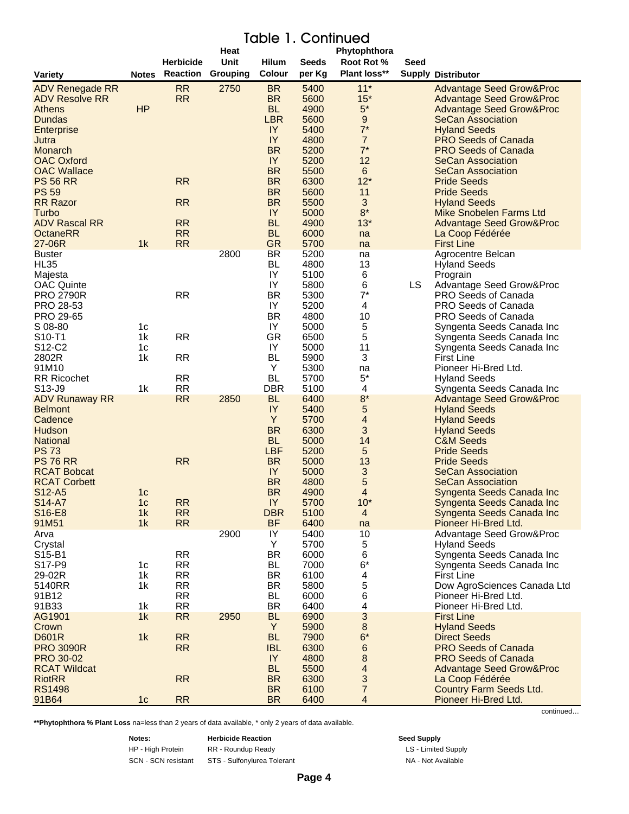# Table 1. Continued

|                                 |                |                  | Heat     |                         |              | Phytophthora              |      |                                            |
|---------------------------------|----------------|------------------|----------|-------------------------|--------------|---------------------------|------|--------------------------------------------|
|                                 |                | <b>Herbicide</b> | Unit     | <b>Hilum</b>            | <b>Seeds</b> | Root Rot %                | Seed |                                            |
| <b>Variety</b>                  | <b>Notes</b>   | <b>Reaction</b>  | Grouping | Colour                  | per Kg       | <b>Plant loss**</b>       |      | <b>Supply Distributor</b>                  |
| ADV Renegade RR                 |                | <b>RR</b>        | 2750     | <b>BR</b>               | 5400         | $11*$                     |      | <b>Advantage Seed Grow&amp;Proc</b>        |
| <b>ADV Resolve RR</b>           |                | <b>RR</b>        |          | <b>BR</b>               | 5600         | $15*$                     |      | <b>Advantage Seed Grow&amp;Proc</b>        |
| <b>Athens</b>                   | HP             |                  |          | <b>BL</b>               | 4900         | $5^*$                     |      | <b>Advantage Seed Grow&amp;Proc</b>        |
| <b>Dundas</b>                   |                |                  |          | <b>LBR</b>              | 5600         | $\boldsymbol{9}$          |      | <b>SeCan Association</b>                   |
| Enterprise                      |                |                  |          | IY                      | 5400         | $7^*$                     |      | <b>Hyland Seeds</b>                        |
| Jutra                           |                |                  |          | IY                      | 4800         | $\overline{7}$            |      | <b>PRO Seeds of Canada</b>                 |
| Monarch                         |                |                  |          | <b>BR</b>               | 5200         | $7^*$                     |      | <b>PRO Seeds of Canada</b>                 |
| <b>OAC Oxford</b>               |                |                  |          | IY                      | 5200         | 12                        |      | <b>SeCan Association</b>                   |
| <b>OAC Wallace</b>              |                |                  |          | <b>BR</b>               | 5500         | 6                         |      | <b>SeCan Association</b>                   |
| <b>PS 56 RR</b>                 |                | <b>RR</b>        |          | <b>BR</b>               | 6300         | $12*$                     |      | <b>Pride Seeds</b>                         |
| <b>PS 59</b>                    |                |                  |          | <b>BR</b>               | 5600         | 11                        |      | <b>Pride Seeds</b>                         |
| <b>RR Razor</b>                 |                | <b>RR</b>        |          | <b>BR</b>               | 5500         | 3                         |      | <b>Hyland Seeds</b>                        |
| Turbo                           |                |                  |          | IY                      | 5000         | $8*$                      |      | <b>Mike Snobelen Farms Ltd</b>             |
| <b>ADV Rascal RR</b>            |                | <b>RR</b>        |          | <b>BL</b>               | 4900         | $13*$                     |      | <b>Advantage Seed Grow&amp;Proc</b>        |
| <b>OctaneRR</b>                 |                | <b>RR</b>        |          | <b>BL</b>               | 6000         | na                        |      | La Coop Fédérée                            |
| 27-06R                          | 1k             | <b>RR</b>        |          | <b>GR</b>               | 5700         | na                        |      | <b>First Line</b>                          |
| <b>Buster</b>                   |                |                  | 2800     | <b>BR</b>               | 5200         | na                        |      | Agrocentre Belcan                          |
| HL35                            |                |                  |          | <b>BL</b>               | 4800         | 13                        |      | Hyland Seeds                               |
| Majesta                         |                |                  |          | IY                      | 5100         | 6                         |      | Prograin                                   |
| <b>OAC Quinte</b>               |                |                  |          | IY                      | 5800         | 6                         | LS   | Advantage Seed Grow&Proc                   |
| <b>PRO 2790R</b>                |                | <b>RR</b>        |          | BR                      | 5300         | $7^*$                     |      | PRO Seeds of Canada                        |
| PRO 28-53                       |                |                  |          | IY                      | 5200         | 4                         |      | <b>PRO Seeds of Canada</b>                 |
| PRO 29-65                       |                |                  |          | BR                      | 4800         | 10                        |      | <b>PRO Seeds of Canada</b>                 |
| S 08-80                         | 1c             |                  |          | IY                      | 5000         | 5                         |      | Syngenta Seeds Canada Inc                  |
| S10-T1                          | 1k             | <b>RR</b>        |          | GR                      | 6500         | 5                         |      | Syngenta Seeds Canada Inc                  |
| S12-C2                          | 1c             |                  |          | IY                      | 5000         | 11                        |      | Syngenta Seeds Canada Inc                  |
| 2802R                           | 1k             | <b>RR</b>        |          | <b>BL</b>               | 5900         | 3                         |      | <b>First Line</b>                          |
| 91M10                           |                |                  |          | Υ                       | 5300         | na                        |      | Pioneer Hi-Bred Ltd.                       |
| <b>RR Ricochet</b>              |                | <b>RR</b>        |          | <b>BL</b>               | 5700         | $5*$                      |      | <b>Hyland Seeds</b>                        |
| S13-J9                          | 1k             | <b>RR</b>        |          | <b>DBR</b>              | 5100         | 4                         |      | Syngenta Seeds Canada Inc                  |
| <b>ADV Runaway RR</b>           |                | <b>RR</b>        | 2850     | <b>BL</b>               | 6400         | $8*$                      |      | <b>Advantage Seed Grow&amp;Proc</b>        |
| <b>Belmont</b>                  |                |                  |          | IY                      | 5400         | 5                         |      | <b>Hyland Seeds</b>                        |
| Cadence                         |                |                  |          | Y                       | 5700         | 4                         |      | <b>Hyland Seeds</b>                        |
| Hudson                          |                |                  |          | <b>BR</b>               | 6300         | 3                         |      | <b>Hyland Seeds</b>                        |
| <b>National</b><br><b>PS 73</b> |                |                  |          | <b>BL</b><br><b>LBF</b> | 5000<br>5200 | 14<br>5                   |      | <b>C&amp;M Seeds</b><br><b>Pride Seeds</b> |
| <b>PS 76 RR</b>                 |                | <b>RR</b>        |          | <b>BR</b>               | 5000         | 13                        |      | <b>Pride Seeds</b>                         |
| <b>RCAT Bobcat</b>              |                |                  |          | IY                      | 5000         | $\ensuremath{\mathsf{3}}$ |      | <b>SeCan Association</b>                   |
| <b>RCAT Corbett</b>             |                |                  |          | <b>BR</b>               | 4800         | 5                         |      | <b>SeCan Association</b>                   |
| S <sub>12</sub> -A <sub>5</sub> | 1 <sub>c</sub> |                  |          | <b>BR</b>               | 4900         | 4                         |      | Syngenta Seeds Canada Inc                  |
| S <sub>14</sub> -A <sub>7</sub> | 1 <sub>c</sub> | <b>RR</b>        |          | IY                      | 5700         | $10*$                     |      | Syngenta Seeds Canada Inc                  |
| S16-E8                          | 1k             | <b>RR</b>        |          | <b>DBR</b>              | 5100         | $\overline{\mathbf{4}}$   |      | Syngenta Seeds Canada Inc                  |
| 91M51                           | 1k             | <b>RR</b>        |          | <b>BF</b>               | 6400         | na                        |      | Pioneer Hi-Bred Ltd.                       |
| Arva                            |                |                  | 2900     | $\overline{Y}$          | 5400         | 10                        |      | <b>Advantage Seed Grow&amp;Proc</b>        |
| Crystal                         |                |                  |          | Y                       | 5700         | 5                         |      | <b>Hyland Seeds</b>                        |
| S15-B1                          |                | <b>RR</b>        |          | <b>BR</b>               | 6000         | 6                         |      | Syngenta Seeds Canada Inc                  |
| S17-P9                          | 1 <sub>c</sub> | RR               |          | <b>BL</b>               | 7000         | $6^\star$                 |      | Syngenta Seeds Canada Inc                  |
| 29-02R                          | 1k             | <b>RR</b>        |          | <b>BR</b>               | 6100         | $\overline{\mathbf{4}}$   |      | <b>First Line</b>                          |
| 5140RR                          | 1k             | <b>RR</b>        |          | <b>BR</b>               | 5800         | 5                         |      | Dow AgroSciences Canada Ltd                |
| 91B12                           |                | <b>RR</b>        |          | <b>BL</b>               | 6000         | 6                         |      | Pioneer Hi-Bred Ltd.                       |
| 91B33                           | 1k             | <b>RR</b>        |          | <b>BR</b>               | 6400         | 4                         |      | Pioneer Hi-Bred Ltd.                       |
| AG1901                          | 1k             | RR               | 2950     | <b>BL</b>               | 6900         | $\mathfrak{S}$            |      | <b>First Line</b>                          |
| Crown                           |                |                  |          | Y                       | 5900         | $\bf 8$                   |      | <b>Hyland Seeds</b>                        |
| <b>D601R</b>                    | 1k             | RR               |          | <b>BL</b>               | 7900         | $6^\star$                 |      | <b>Direct Seeds</b>                        |
| <b>PRO 3090R</b>                |                | <b>RR</b>        |          | <b>IBL</b>              | 6300         | 6                         |      | <b>PRO Seeds of Canada</b>                 |
| PRO 30-02                       |                |                  |          | IY                      | 4800         | 8                         |      | <b>PRO Seeds of Canada</b>                 |
| <b>RCAT Wildcat</b>             |                |                  |          | <b>BL</b>               | 5500         | $\overline{\mathcal{A}}$  |      | <b>Advantage Seed Grow&amp;Proc</b>        |
| <b>RiotRR</b>                   |                | RR               |          | <b>BR</b>               | 6300         | 3                         |      | La Coop Fédérée                            |
| <b>RS1498</b>                   |                |                  |          | <b>BR</b>               | 6100         | $\overline{7}$            |      | Country Farm Seeds Ltd.                    |
| 91B64                           | 1 <sub>c</sub> | RR               |          | <b>BR</b>               | 6400         | $\overline{4}$            |      | Pioneer Hi-Bred Ltd.                       |

**\*\*Phytophthora % Plant Loss** na=less than 2 years of data available, \* only 2 years of data available.

**Notes: Herbicide Reaction Seed Supply** 

HP - High Protein RR - Roundup Ready **Ready Ready** LS - Limited Supply SCN - SCN resistant STS - Sulfonylurea Tolerant NA - Not Available

**Page 4**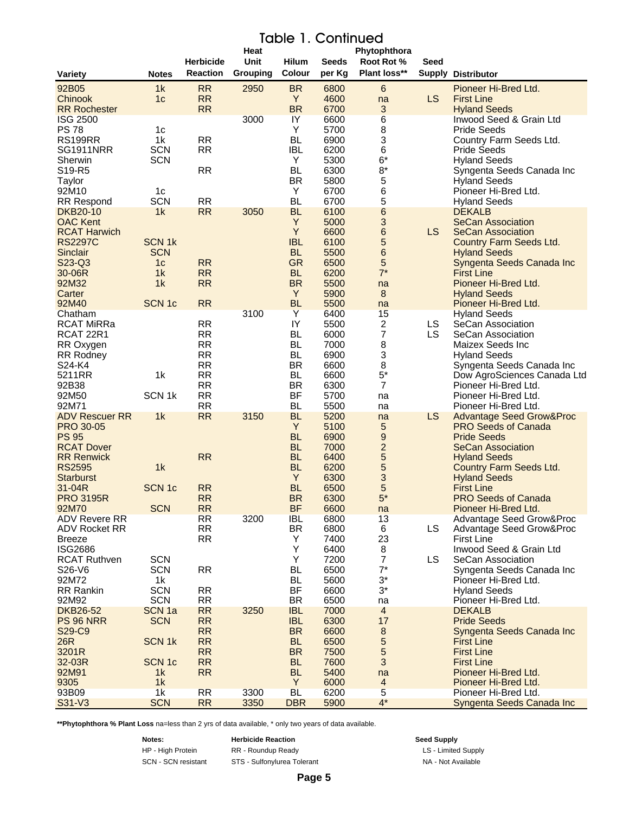# Table 1. Continued

|                                        |                              |                        | Heat     |                         |              | Phytophthora              |           |                                                  |
|----------------------------------------|------------------------------|------------------------|----------|-------------------------|--------------|---------------------------|-----------|--------------------------------------------------|
|                                        |                              | <b>Herbicide</b>       | Unit     | <b>Hilum</b>            | <b>Seeds</b> | Root Rot %                | Seed      |                                                  |
| Variety                                | <b>Notes</b>                 | <b>Reaction</b>        | Grouping | Colour                  | per Kg       | Plant loss**              |           | <b>Supply Distributor</b>                        |
| 92B05                                  | 1k                           | <b>RR</b>              | 2950     | <b>BR</b>               | 6800         | $\,6\,$                   |           | Pioneer Hi-Bred Ltd.                             |
| Chinook                                | 1 <sub>c</sub>               | <b>RR</b><br><b>RR</b> |          | Y<br><b>BR</b>          | 4600         | na                        | <b>LS</b> | <b>First Line</b>                                |
| <b>RR Rochester</b><br><b>ISG 2500</b> |                              |                        | 3000     | $\overline{Y}$          | 6700<br>6600 | 3<br>$6\overline{6}$      |           | <b>Hyland Seeds</b><br>Inwood Seed & Grain Ltd   |
| <b>PS 78</b>                           | 1 <sub>c</sub>               |                        |          | Y                       | 5700         | 8                         |           | <b>Pride Seeds</b>                               |
| <b>RS199RR</b>                         | 1k                           | <b>RR</b>              |          | <b>BL</b>               | 6900         | 3                         |           | Country Farm Seeds Ltd.                          |
| <b>SG1911NRR</b>                       | <b>SCN</b>                   | <b>RR</b>              |          | <b>IBL</b>              | 6200         | 6                         |           | <b>Pride Seeds</b>                               |
| Sherwin                                | <b>SCN</b>                   |                        |          | Y                       | 5300         | $6*$                      |           | <b>Hyland Seeds</b>                              |
| S19-R5                                 |                              | <b>RR</b>              |          | BL                      | 6300         | $8*$                      |           | Syngenta Seeds Canada Inc                        |
| Taylor                                 |                              |                        |          | <b>BR</b><br>Y          | 5800         | $\mathbf 5$               |           | <b>Hyland Seeds</b><br>Pioneer Hi-Bred Ltd.      |
| 92M10<br><b>RR Respond</b>             | 1 <sub>c</sub><br><b>SCN</b> | <b>RR</b>              |          | <b>BL</b>               | 6700<br>6700 | 6<br>5                    |           | <b>Hyland Seeds</b>                              |
| <b>DKB20-10</b>                        | 1k                           | <b>RR</b>              | 3050     | <b>BL</b>               | 6100         | 6                         |           | <b>DEKALB</b>                                    |
| <b>OAC Kent</b>                        |                              |                        |          | Y                       | 5000         | 3                         |           | <b>SeCan Association</b>                         |
| <b>RCAT Harwich</b>                    |                              |                        |          | Y                       | 6600         | $\,$ 6 $\,$               | LS.       | <b>SeCan Association</b>                         |
| <b>RS2297C</b>                         | <b>SCN 1k</b>                |                        |          | <b>IBL</b>              | 6100         | 5                         |           | <b>Country Farm Seeds Ltd.</b>                   |
| Sinclair                               | <b>SCN</b>                   |                        |          | <b>BL</b>               | 5500         | 6                         |           | <b>Hyland Seeds</b>                              |
| S23-Q3                                 | 1 <sub>c</sub><br>1k         | <b>RR</b><br><b>RR</b> |          | <b>GR</b><br><b>BL</b>  | 6500         | 5<br>$7^*$                |           | Syngenta Seeds Canada Inc                        |
| 30-06R<br>92M32                        | 1k                           | <b>RR</b>              |          | <b>BR</b>               | 6200<br>5500 | na                        |           | <b>First Line</b><br>Pioneer Hi-Bred Ltd.        |
| Carter                                 |                              |                        |          | Y                       | 5900         | $\bf 8$                   |           | <b>Hyland Seeds</b>                              |
| 92M40                                  | <b>SCN 1c</b>                | <b>RR</b>              |          | <b>BL</b>               | 5500         | na                        |           | Pioneer Hi-Bred Ltd.                             |
| Chatham                                |                              |                        | 3100     | Y                       | 6400         | 15                        |           | <b>Hyland Seeds</b>                              |
| <b>RCAT MiRRa</b>                      |                              | <b>RR</b>              |          | IY                      | 5500         | $\boldsymbol{2}$          | LS.       | SeCan Association                                |
| RCAT 22R1                              |                              | <b>RR</b>              |          | BL                      | 6000         | $\overline{7}$            | LS.       | SeCan Association                                |
| RR Oxygen                              |                              | <b>RR</b>              |          | BL                      | 7000         | 8                         |           | Maizex Seeds Inc                                 |
| <b>RR Rodney</b><br>S24-K4             |                              | <b>RR</b><br><b>RR</b> |          | BL<br><b>BR</b>         | 6900<br>6600 | 3<br>8                    |           | <b>Hyland Seeds</b><br>Syngenta Seeds Canada Inc |
| 5211RR                                 | 1 <sub>k</sub>               | <b>RR</b>              |          | BL                      | 6600         | $5^*$                     |           | Dow AgroSciences Canada Ltd                      |
| 92B38                                  |                              | <b>RR</b>              |          | <b>BR</b>               | 6300         | $\overline{7}$            |           | Pioneer Hi-Bred Ltd.                             |
| 92M50                                  | SCN <sub>1k</sub>            | <b>RR</b>              |          | <b>BF</b>               | 5700         | na                        |           | Pioneer Hi-Bred Ltd.                             |
| 92M71                                  |                              | <b>RR</b>              |          | <b>BL</b>               | 5500         | na                        |           | Pioneer Hi-Bred Ltd.                             |
| <b>ADV Rescuer RR</b>                  | 1k                           | <b>RR</b>              | 3150     | <b>BL</b>               | 5200         | na                        | LS.       | <b>Advantage Seed Grow&amp;Proc</b>              |
| <b>PRO 30-05</b><br><b>PS 95</b>       |                              |                        |          | Y<br><b>BL</b>          | 5100         | 5                         |           | <b>PRO Seeds of Canada</b>                       |
| <b>RCAT Dover</b>                      |                              |                        |          | <b>BL</b>               | 6900<br>7000 | 9<br>$\overline{c}$       |           | <b>Pride Seeds</b><br><b>SeCan Association</b>   |
| <b>RR Renwick</b>                      |                              | <b>RR</b>              |          | <b>BL</b>               | 6400         | 5                         |           | <b>Hyland Seeds</b>                              |
| <b>RS2595</b>                          | 1k                           |                        |          | <b>BL</b>               | 6200         | 5                         |           | <b>Country Farm Seeds Ltd.</b>                   |
| <b>Starburst</b>                       |                              |                        |          | Y                       | 6300         | 3                         |           | <b>Hyland Seeds</b>                              |
| 31-04R                                 | SCN <sub>1c</sub>            | <b>RR</b>              |          | <b>BL</b>               | 6500         | 5                         |           | <b>First Line</b>                                |
| <b>PRO 3195R</b>                       |                              | <b>RR</b>              |          | <b>BR</b>               | 6300         | $5*$                      |           | <b>PRO Seeds of Canada</b>                       |
| 92M70<br>ADV Revere RR                 | <b>SCN</b>                   | RR<br>RR               | 3200     | <b>BF</b><br><b>IBL</b> | 6600<br>6800 | na<br>13                  |           | Pioneer Hi-Bred Ltd.<br>Advantage Seed Grow&Proc |
| ADV Rocket RR                          |                              | <b>RR</b>              |          | BR.                     | 6800         | 6                         | <b>LS</b> | Advantage Seed Grow&Proc                         |
| <b>Breeze</b>                          |                              | <b>RR</b>              |          | Y                       | 7400         | 23                        |           | <b>First Line</b>                                |
| <b>ISG2686</b>                         |                              |                        |          | Υ                       | 6400         | 8                         |           | Inwood Seed & Grain Ltd                          |
| <b>RCAT Ruthven</b>                    | <b>SCN</b>                   |                        |          | Υ                       | 7200         | $\overline{7}$            | LS.       | SeCan Association                                |
| S26-V6                                 | <b>SCN</b>                   | <b>RR</b>              |          | BL                      | 6500         | $7^*$                     |           | Syngenta Seeds Canada Inc                        |
| 92M72                                  | 1k                           |                        |          | BL<br>BF                | 5600         | $3^{\star}$<br>$3^*$      |           | Pioneer Hi-Bred Ltd.                             |
| RR Rankin<br>92M92                     | <b>SCN</b><br><b>SCN</b>     | <b>RR</b><br><b>RR</b> |          | <b>BR</b>               | 6600<br>6500 | na                        |           | <b>Hyland Seeds</b><br>Pioneer Hi-Bred Ltd.      |
| <b>DKB26-52</b>                        | SCN <sub>1a</sub>            | <b>RR</b>              | 3250     | <b>IBL</b>              | 7000         | $\overline{4}$            |           | <b>DEKALB</b>                                    |
| <b>PS 96 NRR</b>                       | <b>SCN</b>                   | <b>RR</b>              |          | <b>IBL</b>              | 6300         | 17                        |           | <b>Pride Seeds</b>                               |
| S29-C9                                 |                              | <b>RR</b>              |          | <b>BR</b>               | 6600         | $\bf 8$                   |           | Syngenta Seeds Canada Inc                        |
| 26R                                    | <b>SCN1k</b>                 | <b>RR</b>              |          | <b>BL</b>               | 6500         | 5                         |           | <b>First Line</b>                                |
| 3201R                                  |                              | <b>RR</b>              |          | <b>BR</b>               | 7500         | 5                         |           | <b>First Line</b>                                |
| 32-03R                                 | <b>SCN 1c</b>                | <b>RR</b><br><b>RR</b> |          | <b>BL</b>               | 7600         | $\ensuremath{\mathsf{3}}$ |           | <b>First Line</b>                                |
| 92M91<br>9305                          | 1 <sub>k</sub><br>1k         |                        |          | <b>BL</b><br>Y          | 5400<br>6000 | na<br>$\overline{4}$      |           | Pioneer Hi-Bred Ltd.<br>Pioneer Hi-Bred Ltd.     |
| 93B09                                  | 1k                           | <b>RR</b>              | 3300     | <b>BL</b>               | 6200         | 5                         |           | Pioneer Hi-Bred Ltd.                             |
| S31-V3                                 | <b>SCN</b>                   | RR                     | 3350     | <b>DBR</b>              | 5900         | $4^*$                     |           | Syngenta Seeds Canada Inc                        |

**\*\*Phytophthora % Plant Loss** na=less than 2 yrs of data available, \* only two years of data available.

**Notes: Herbicide Reaction Seed Supply** HP - High Protein **RR** - Roundup Ready **RG 2006 LS** - Limited Supply SCN - SCN resistant STS - Sulfonylurea Tolerant NA - Not Available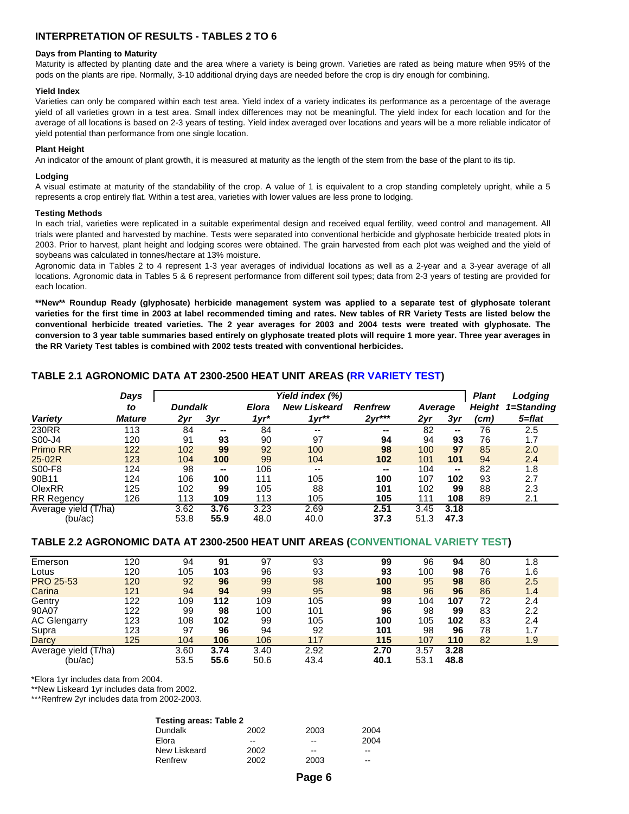# **INTERPRETATION OF RESULTS - TABLES 2 TO 6**

#### **Days from Planting to Maturity**

Maturity is affected by planting date and the area where a variety is being grown. Varieties are rated as being mature when 95% of the pods on the plants are ripe. Normally, 3-10 additional drying days are needed before the crop is dry enough for combining.

#### **Yield Index**

Varieties can only be compared within each test area. Yield index of a variety indicates its performance as a percentage of the average yield of all varieties grown in a test area. Small index differences may not be meaningful. The yield index for each location and for the average of all locations is based on 2-3 years of testing. Yield index averaged over locations and years will be a more reliable indicator of yield potential than performance from one single location.

#### **Plant Height**

An indicator of the amount of plant growth, it is measured at maturity as the length of the stem from the base of the plant to its tip.

#### **Lodging**

A visual estimate at maturity of the standability of the crop. A value of 1 is equivalent to a crop standing completely upright, while a 5 represents a crop entirely flat. Within a test area, varieties with lower values are less prone to lodging.

#### **Testing Methods**

In each trial, varieties were replicated in a suitable experimental design and received equal fertility, weed control and management. All trials were planted and harvested by machine. Tests were separated into conventional herbicide and glyphosate herbicide treated plots in 2003. Prior to harvest, plant height and lodging scores were obtained. The grain harvested from each plot was weighed and the yield of soybeans was calculated in tonnes/hectare at 13% moisture.

Agronomic data in Tables 2 to 4 represent 1-3 year averages of individual locations as well as a 2-year and a 3-year average of all locations. Agronomic data in Tables 5 & 6 represent performance from different soil types; data from 2-3 years of testing are provided for each location.

\*\*New\*\* Roundup Ready (glyphosate) herbicide management system was applied to a separate test of glyphosate tolerant varieties for the first time in 2003 at label recommended timing and rates. New tables of RR Variety Tests are listed below the conventional herbicide treated varieties. The 2 year averages for 2003 and 2004 tests were treated with glyphosate. The conversion to 3 year table summaries based entirely on glyphosate treated plots will require 1 more year. Three year averages in **the RR Variety Test tables is combined with 2002 tests treated with conventional herbicides.**

# **TABLE 2.1 AGRONOMIC DATA AT 2300-2500 HEAT UNIT AREAS (RR VARIETY TEST)**

|                           | Days          |                |      |              | Yield index (%)     |                |         |        | <b>Plant</b>  | Lodging    |
|---------------------------|---------------|----------------|------|--------------|---------------------|----------------|---------|--------|---------------|------------|
|                           | to            | <b>Dundalk</b> |      | <b>Elora</b> | <b>New Liskeard</b> | <b>Renfrew</b> | Average |        | <b>Height</b> | 1=Standing |
| Variety                   | <b>Mature</b> | 2yr            | 3yr  | $1yr*$       | $1vr**$             | $2yr***$       | 2yr     | 3yr    | (cm)          | 5=flat     |
| 230RR                     | 113           | 84             | --   | 84           | --                  | --             | 82      | $\sim$ | 76            | 2.5        |
| S00-J4                    | 120           | 91             | 93   | 90           | 97                  | 94             | 94      | 93     | 76            | 1.7        |
| Primo RR                  | 122           | 102            | 99   | 92           | 100                 | 98             | 100     | 97     | 85            | 2.0        |
| 25-02R                    | 123           | 104            | 100  | 99           | 104                 | 102            | 101     | 101    | 94            | 2.4        |
| S00-F8                    | 124           | 98             | --   | 106          | $- -$               | --             | 104     | $\sim$ | 82            | 1.8        |
| 90B11                     | 124           | 106            | 100  | 111          | 105                 | 100            | 107     | 102    | 93            | 2.7        |
| OlexRR                    | 125           | 102            | 99   | 105          | 88                  | 101            | 102     | 99     | 88            | 2.3        |
| <b>RR Regency</b>         | 126           | 113            | 109  | 113          | 105                 | 105            | 111     | 108    | 89            | 2.1        |
| Average yield (<br>(T/ha) |               | 3.62           | 3.76 | 3.23         | 2.69                | 2.51           | 3.45    | 3.18   |               |            |
| (bu/ac)                   |               | 53.8           | 55.9 | 48.0         | 40.0                | 37.3           | 51.3    | 47.3   |               |            |

# **TABLE 2.2 AGRONOMIC DATA AT 2300-2500 HEAT UNIT AREAS (CONVENTIONAL VARIETY TEST)**

| Emerson                 | 120 | 94   | 91   | 97   | 93   | 99   | 96   | 94   | 80 | 1.8 |
|-------------------------|-----|------|------|------|------|------|------|------|----|-----|
| Lotus                   | 120 | 105  | 103  | 96   | 93   | 93   | 100  | 98   | 76 | 1.6 |
| <b>PRO 25-53</b>        | 120 | 92   | 96   | 99   | 98   | 100  | 95   | 98   | 86 | 2.5 |
| Carina                  | 121 | 94   | 94   | 99   | 95   | 98   | 96   | 96   | 86 | 1.4 |
| Gentry                  | 122 | 109  | 112  | 109  | 105  | 99   | 104  | 107  | 72 | 2.4 |
| 90A07                   | 122 | 99   | 98   | 100  | 101  | 96   | 98   | 99   | 83 | 2.2 |
| <b>AC Glengarry</b>     | 123 | 108  | 102  | 99   | 105  | 100  | 105  | 102  | 83 | 2.4 |
| Supra                   | 123 | 97   | 96   | 94   | 92   | 101  | 98   | 96   | 78 | 1.7 |
| Darcy                   | 125 | 104  | 106  | 106  | 117  | 115  | 107  | 110  | 82 | 1.9 |
| 'T/ha)<br>Average yield |     | 3.60 | 3.74 | 3.40 | 2.92 | 2.70 | 3.57 | 3.28 |    |     |
| (bu/ac)                 |     | 53.5 | 55.6 | 50.6 | 43.4 | 40.1 | 53.1 | 48.8 |    |     |

\*Elora 1yr includes data from 2004.

\*\*New Liskeard 1yr includes data from 2002.

\*\*\*Renfrew 2yr includes data from 2002-2003.

| <b>Testing areas: Table 2</b> |      |       |      |  |  |  |  |  |  |  |
|-------------------------------|------|-------|------|--|--|--|--|--|--|--|
| <b>Dundalk</b>                | 2002 | 2003  | 2004 |  |  |  |  |  |  |  |
| Elora                         | --   | $- -$ | 2004 |  |  |  |  |  |  |  |
| New Liskeard                  | 2002 | --    | --   |  |  |  |  |  |  |  |
| Renfrew                       | 2002 | 2003  | --   |  |  |  |  |  |  |  |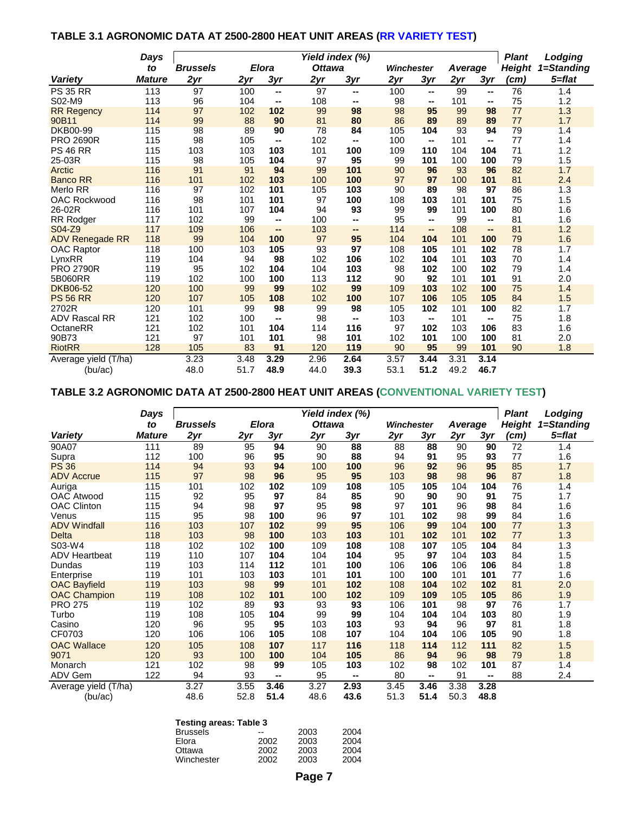# **TABLE 3.1 AGRONOMIC DATA AT 2500-2800 HEAT UNIT AREAS (RR VARIETY TEST)**

|                        | Days          |                 |      |              |               | Yield index (%) |            |                          |         |      | <b>Plant</b>  | Lodging    |
|------------------------|---------------|-----------------|------|--------------|---------------|-----------------|------------|--------------------------|---------|------|---------------|------------|
|                        | to            | <b>Brussels</b> |      | <b>Elora</b> | <b>Ottawa</b> |                 | Winchester |                          | Average |      | <b>Height</b> | 1=Standing |
| <b>Varietv</b>         | <b>Mature</b> | 2yr             | 2yr  | 3yr          | 2yr           | 3yr             | 2yr        | 3yr                      | 2yr     | 3yr  | (cm)          | 5=flat     |
| <b>PS 35 RR</b>        | 113           | 97              | 100  | --           | 97            | --              | 100        | ⊷                        | 99      | --   | 76            | 1.4        |
| S02-M9                 | 113           | 96              | 104  | --           | 108           | $\sim$          | 98         | --                       | 101     | --   | 75            | 1.2        |
| <b>RR Regency</b>      | 114           | 97              | 102  | 102          | 99            | 98              | 98         | 95                       | 99      | 98   | 77            | 1.3        |
| 90B11                  | 114           | 99              | 88   | 90           | 81            | 80              | 86         | 89                       | 89      | 89   | 77            | 1.7        |
| <b>DKB00-99</b>        | 115           | 98              | 89   | 90           | 78            | 84              | 105        | 104                      | 93      | 94   | 79            | 1.4        |
| <b>PRO 2690R</b>       | 115           | 98              | 105  | --           | 102           | $\sim$          | 100        | --                       | 101     | --   | 77            | 1.4        |
| <b>PS 46 RR</b>        | 115           | 103             | 103  | 103          | 101           | 100             | 109        | 110                      | 104     | 104  | 71            | 1.2        |
| 25-03R                 | 115           | 98              | 105  | 104          | 97            | 95              | 99         | 101                      | 100     | 100  | 79            | 1.5        |
| Arctic                 | 116           | 91              | 91   | 94           | 99            | 101             | 90         | 96                       | 93      | 96   | 82            | 1.7        |
| <b>Banco RR</b>        | 116           | 101             | 102  | 103          | 100           | 100             | 97         | 97                       | 100     | 101  | 81            | 2.4        |
| <b>Merlo RR</b>        | 116           | 97              | 102  | 101          | 105           | 103             | 90         | 89                       | 98      | 97   | 86            | 1.3        |
| <b>OAC Rockwood</b>    | 116           | 98              | 101  | 101          | 97            | 100             | 108        | 103                      | 101     | 101  | 75            | 1.5        |
| 26-02R                 | 116           | 101             | 107  | 104          | 94            | 93              | 99         | 99                       | 101     | 100  | 80            | 1.6        |
| RR Rodger              | 117           | 102             | 99   | --           | 100           | --              | 95         | --                       | 99      | --   | 81            | 1.6        |
| S04-Z9                 | 117           | 109             | 106  | --           | 103           | $\sim$          | 114        | $\overline{\phantom{a}}$ | 108     | --   | 81            | 1.2        |
| <b>ADV Renegade RR</b> | 118           | 99              | 104  | 100          | 97            | 95              | 104        | 104                      | 101     | 100  | 79            | 1.6        |
| <b>OAC Raptor</b>      | 118           | 100             | 103  | 105          | 93            | 97              | 108        | 105                      | 101     | 102  | 78            | 1.7        |
| LynxRR                 | 119           | 104             | 94   | 98           | 102           | 106             | 102        | 104                      | 101     | 103  | 70            | 1.4        |
| <b>PRO 2790R</b>       | 119           | 95              | 102  | 104          | 104           | 103             | 98         | 102                      | 100     | 102  | 79            | 1.4        |
| 5B060RR                | 119           | 102             | 100  | 100          | 113           | 112             | 90         | 92                       | 101     | 101  | 91            | 2.0        |
| <b>DKB06-52</b>        | 120           | 100             | 99   | 99           | 102           | 99              | 109        | 103                      | 102     | 100  | 75            | 1.4        |
| <b>PS 56 RR</b>        | 120           | 107             | 105  | 108          | 102           | 100             | 107        | 106                      | 105     | 105  | 84            | 1.5        |
| 2702R                  | 120           | 101             | 99   | 98           | 99            | 98              | 105        | 102                      | 101     | 100  | 82            | 1.7        |
| <b>ADV Rascal RR</b>   | 121           | 102             | 100  | --           | 98            | --              | 103        | --                       | 101     | --   | 75            | 1.8        |
| OctaneRR               | 121           | 102             | 101  | 104          | 114           | 116             | 97         | 102                      | 103     | 106  | 83            | 1.6        |
| 90B73                  | 121           | 97              | 101  | 101          | 98            | 101             | 102        | 101                      | 100     | 100  | 81            | 2.0        |
| <b>RiotRR</b>          | 128           | 105             | 83   | 91           | 120           | 119             | 90         | 95                       | 99      | 101  | 90            | 1.8        |
| Average yield (T/ha)   |               | 3.23            | 3.48 | 3.29         | 2.96          | 2.64            | 3.57       | 3.44                     | 3.31    | 3.14 |               |            |
| (bu/ac)                |               | 48.0            | 51.7 | 48.9         | 44.0          | 39.3            | 53.1       | 51.2                     | 49.2    | 46.7 |               |            |

# **TABLE 3.2 AGRONOMIC DATA AT 2500-2800 HEAT UNIT AREAS (CONVENTIONAL VARIETY TEST)**

|                      | Days          |                 |      |       |               | Yield index (%) |            |      |         |        | <b>Plant</b>  | Lodging    |
|----------------------|---------------|-----------------|------|-------|---------------|-----------------|------------|------|---------|--------|---------------|------------|
|                      | to            | <b>Brussels</b> |      | Elora | <b>Ottawa</b> |                 | Winchester |      | Average |        | <b>Height</b> | 1=Standing |
| <b>Variety</b>       | <b>Mature</b> | 2yr             | 2yr  | 3yr   | 2yr           | 3yr             | 2yr        | 3yr  | 2yr     | 3yr    | (cm)          | 5=flat     |
| 90A07                | 111           | 89              | 95   | 94    | 90            | 88              | 88         | 88   | 90      | 90     | 72            | 1.4        |
| Supra                | 112           | 100             | 96   | 95    | 90            | 88              | 94         | 91   | 95      | 93     | 77            | 1.6        |
| <b>PS 36</b>         | 114           | 94              | 93   | 94    | 100           | 100             | 96         | 92   | 96      | 95     | 85            | 1.7        |
| <b>ADV Accrue</b>    | 115           | 97              | 98   | 96    | 95            | 95              | 103        | 98   | 98      | 96     | 87            | 1.8        |
| Auriga               | 115           | 101             | 102  | 102   | 109           | 108             | 105        | 105  | 104     | 104    | 76            | 1.4        |
| <b>OAC Atwood</b>    | 115           | 92              | 95   | 97    | 84            | 85              | 90         | 90   | 90      | 91     | 75            | 1.7        |
| <b>OAC Clinton</b>   | 115           | 94              | 98   | 97    | 95            | 98              | 97         | 101  | 96      | 98     | 84            | 1.6        |
| Venus                | 115           | 95              | 98   | 100   | 96            | 97              | 101        | 102  | 98      | 99     | 84            | 1.6        |
| <b>ADV Windfall</b>  | 116           | 103             | 107  | 102   | 99            | 95              | 106        | 99   | 104     | 100    | 77            | 1.3        |
| <b>Delta</b>         | 118           | 103             | 98   | 100   | 103           | 103             | 101        | 102  | 101     | 102    | 77            | 1.3        |
| S03-W4               | 118           | 102             | 102  | 100   | 109           | 108             | 108        | 107  | 105     | 104    | 84            | 1.3        |
| <b>ADV Heartbeat</b> | 119           | 110             | 107  | 104   | 104           | 104             | 95         | 97   | 104     | 103    | 84            | 1.5        |
| Dundas               | 119           | 103             | 114  | 112   | 101           | 100             | 106        | 106  | 106     | 106    | 84            | 1.8        |
| Enterprise           | 119           | 101             | 103  | 103   | 101           | 101             | 100        | 100  | 101     | 101    | 77            | 1.6        |
| <b>OAC Bayfield</b>  | 119           | 103             | 98   | 99    | 101           | 102             | 108        | 104  | 102     | 102    | 81            | 2.0        |
| <b>OAC Champion</b>  | 119           | 108             | 102  | 101   | 100           | 102             | 109        | 109  | 105     | 105    | 86            | 1.9        |
| <b>PRO 275</b>       | 119           | 102             | 89   | 93    | 93            | 93              | 106        | 101  | 98      | 97     | 76            | 1.7        |
| Turbo                | 119           | 108             | 105  | 104   | 99            | 99              | 104        | 104  | 104     | 103    | 80            | 1.9        |
| Casino               | 120           | 96              | 95   | 95    | 103           | 103             | 93         | 94   | 96      | 97     | 81            | 1.8        |
| CF0703               | 120           | 106             | 106  | 105   | 108           | 107             | 104        | 104  | 106     | 105    | 90            | 1.8        |
| <b>OAC Wallace</b>   | 120           | 105             | 108  | 107   | 117           | 116             | 118        | 114  | 112     | 111    | 82            | 1.5        |
| 9071                 | 120           | 93              | 100  | 100   | 104           | 105             | 86         | 94   | 96      | 98     | 79            | 1.8        |
| Monarch              | 121           | 102             | 98   | 99    | 105           | 103             | 102        | 98   | 102     | 101    | 87            | 1.4        |
| ADV Gem              | 122           | 94              | 93   | --    | 95            | --              | 80         | --   | 91      | $\sim$ | 88            | 2.4        |
| Average yield (T/ha) |               | 3.27            | 3.55 | 3.46  | 3.27          | 2.93            | 3.45       | 3.46 | 3.38    | 3.28   |               |            |
| (bu/ac)              |               | 48.6            | 52.8 | 51.4  | 48.6          | 43.6            | 51.3       | 51.4 | 50.3    | 48.8   |               |            |

| <b>Testing areas: Table 3</b><br><b>Brussels</b> |      |      |  |  |  |  |  |  |  |  |  |
|--------------------------------------------------|------|------|--|--|--|--|--|--|--|--|--|
|                                                  | 2003 | 2004 |  |  |  |  |  |  |  |  |  |
| 2002                                             | 2003 | 2004 |  |  |  |  |  |  |  |  |  |
| 2002                                             | 2003 | 2004 |  |  |  |  |  |  |  |  |  |
| 2002                                             | 2003 | 2004 |  |  |  |  |  |  |  |  |  |
|                                                  |      |      |  |  |  |  |  |  |  |  |  |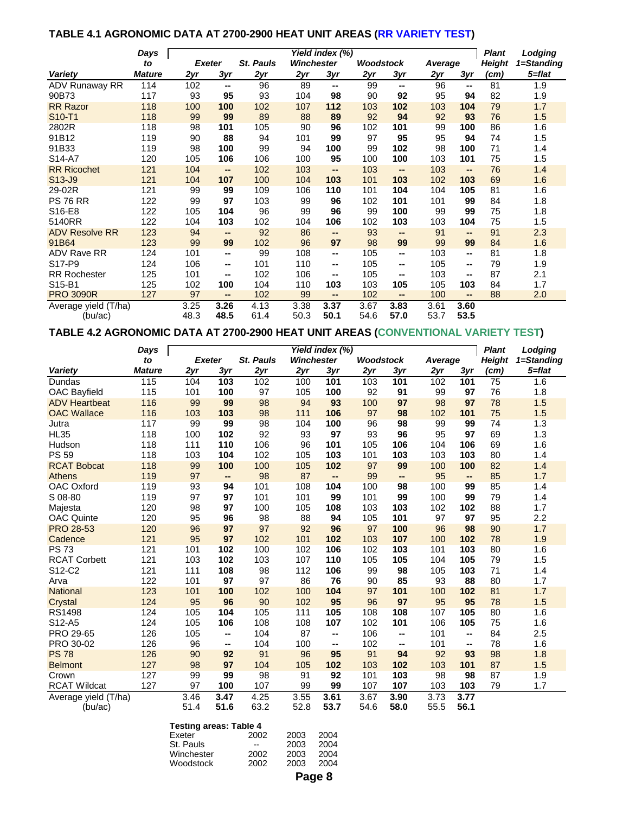# **TABLE 4.1 AGRONOMIC DATA AT 2700-2900 HEAT UNIT AREAS (RR VARIETY TEST)**

|                       | Days          |      |               |                  |            | Yield index (%) |                  |        |         |               | <b>Plant</b>  | Lodging    |
|-----------------------|---------------|------|---------------|------------------|------------|-----------------|------------------|--------|---------|---------------|---------------|------------|
|                       | to            |      | <b>Exeter</b> | <b>St. Pauls</b> | Winchester |                 | <b>Woodstock</b> |        | Average |               | <b>Height</b> | 1=Standing |
| Variety               | <b>Mature</b> | 2yr  | $3y$ r        | 2yr              | 2yr        | 3yr             | 2yr              | 3yr    | 2yr     | 3yr           | (cm)          | 5=flat     |
| ADV Runaway RR        | 114           | 102  | $\sim$        | 96               | 89         | $\sim$          | 99               | --     | 96      | $\sim$        | 81            | 1.9        |
| 90B73                 | 117           | 93   | 95            | 93               | 104        | 98              | 90               | 92     | 95      | 94            | 82            | 1.9        |
| <b>RR Razor</b>       | 118           | 100  | 100           | 102              | 107        | 112             | 103              | 102    | 103     | 104           | 79            | 1.7        |
| S10-T1                | 118           | 99   | 99            | 89               | 88         | 89              | 92               | 94     | 92      | 93            | 76            | 1.5        |
| 2802R                 | 118           | 98   | 101           | 105              | 90         | 96              | 102              | 101    | 99      | 100           | 86            | 1.6        |
| 91B12                 | 119           | 90   | 88            | 94               | 101        | 99              | 97               | 95     | 95      | 94            | 74            | 1.5        |
| 91B33                 | 119           | 98   | 100           | 99               | 94         | 100             | 99               | 102    | 98      | 100           | 71            | 1.4        |
| S14-A7                | 120           | 105  | 106           | 106              | 100        | 95              | 100              | 100    | 103     | 101           | 75            | 1.5        |
| <b>RR Ricochet</b>    | 121           | 104  | $\sim$        | 102              | 103        | $\sim$          | 103              | $\sim$ | 103     | $\sim$        | 76            | 1.4        |
| S13-J9                | 121           | 104  | 107           | 100              | 104        | 103             | 101              | 103    | 102     | 103           | 69            | 1.6        |
| 29-02R                | 121           | 99   | 99            | 109              | 106        | 110             | 101              | 104    | 104     | 105           | 81            | 1.6        |
| <b>PS 76 RR</b>       | 122           | 99   | 97            | 103              | 99         | 96              | 102              | 101    | 101     | 99            | 84            | 1.8        |
| S16-E8                | 122           | 105  | 104           | 96               | 99         | 96              | 99               | 100    | 99      | 99            | 75            | 1.8        |
| 5140RR                | 122           | 104  | 103           | 102              | 104        | 106             | 102              | 103    | 103     | 104           | 75            | 1.5        |
| <b>ADV Resolve RR</b> | 123           | 94   | $\sim$        | 92               | 86         | $\sim$          | 93               | $\sim$ | 91      | $\sim$        | 91            | 2.3        |
| 91B64                 | 123           | 99   | 99            | 102              | 96         | 97              | 98               | 99     | 99      | 99            | 84            | 1.6        |
| <b>ADV Rave RR</b>    | 124           | 101  | $\sim$        | 99               | 108        | $\sim$          | 105              | --     | 103     | $\sim$        | 81            | 1.8        |
| S <sub>17-P9</sub>    | 124           | 106  | $\sim$        | 101              | 110        | $\sim$          | 105              | $\sim$ | 105     | $\sim$ $\sim$ | 79            | 1.9        |
| <b>RR Rochester</b>   | 125           | 101  | $- -$         | 102              | 106        | $\sim$          | 105              | --     | 103     | --            | 87            | 2.1        |
| S15-B1                | 125           | 102  | 100           | 104              | 110        | 103             | 103              | 105    | 105     | 103           | 84            | 1.7        |
| <b>PRO 3090R</b>      | 127           | 97   | $\sim$        | 102              | 99         | $\sim$          | 102              | $\sim$ | 100     | $\sim$        | 88            | 2.0        |
| Average yield (T/ha)  |               | 3.25 | 3.26          | 4.13             | 3.38       | 3.37            | 3.67             | 3.83   | 3.61    | 3.60          |               |            |
| (bu/ac)               |               | 48.3 | 48.5          | 61.4             | 50.3       | 50.1            | 54.6             | 57.0   | 53.7    | 53.5          |               |            |

# **TABLE 4.2 AGRONOMIC DATA AT 2700-2900 HEAT UNIT AREAS (CONVENTIONAL VARIETY TEST)**

|                      | Days          |               |      |           |            | Yield index (%) |                  |      |         |        | <b>Plant</b>  | Lodging    |
|----------------------|---------------|---------------|------|-----------|------------|-----------------|------------------|------|---------|--------|---------------|------------|
|                      | to            | <b>Exeter</b> |      | St. Pauls | Winchester |                 | <b>Woodstock</b> |      | Average |        | <b>Height</b> | 1=Standing |
| Variety              | <b>Mature</b> | 2yr           | 3yr  | 2yr       | 2yr        | 3yr             | 2yr              | 3yr  | 2yr     | 3yr    | (cm)          | $5 = flat$ |
| Dundas               | 115           | 104           | 103  | 102       | 100        | 101             | 103              | 101  | 102     | 101    | 75            | 1.6        |
| OAC Bayfield         | 115           | 101           | 100  | 97        | 105        | 100             | 92               | 91   | 99      | 97     | 76            | 1.8        |
| <b>ADV Heartbeat</b> | 116           | 99            | 99   | 98        | 94         | 93              | 100              | 97   | 98      | 97     | 78            | 1.5        |
| <b>OAC Wallace</b>   | 116           | 103           | 103  | 98        | 111        | 106             | 97               | 98   | 102     | 101    | 75            | 1.5        |
| Jutra                | 117           | 99            | 99   | 98        | 104        | 100             | 96               | 98   | 99      | 99     | 74            | 1.3        |
| <b>HL35</b>          | 118           | 100           | 102  | 92        | 93         | 97              | 93               | 96   | 95      | 97     | 69            | 1.3        |
| Hudson               | 118           | 111           | 110  | 106       | 96         | 101             | 105              | 106  | 104     | 106    | 69            | 1.6        |
| <b>PS 59</b>         | 118           | 103           | 104  | 102       | 105        | 103             | 101              | 103  | 103     | 103    | 80            | 1.4        |
| <b>RCAT Bobcat</b>   | 118           | 99            | 100  | 100       | 105        | 102             | 97               | 99   | 100     | 100    | 82            | 1.4        |
| <b>Athens</b>        | 119           | 97            | --   | 98        | 87         | Щ,              | 99               | --   | 95      | $\sim$ | 85            | 1.7        |
| <b>OAC Oxford</b>    | 119           | 93            | 94   | 101       | 108        | 104             | 100              | 98   | 100     | 99     | 85            | 1.4        |
| S 08-80              | 119           | 97            | 97   | 101       | 101        | 99              | 101              | 99   | 100     | 99     | 79            | 1.4        |
| Majesta              | 120           | 98            | 97   | 100       | 105        | 108             | 103              | 103  | 102     | 102    | 88            | 1.7        |
| <b>OAC Quinte</b>    | 120           | 95            | 96   | 98        | 88         | 94              | 105              | 101  | 97      | 97     | 95            | 2.2        |
| <b>PRO 28-53</b>     | 120           | 96            | 97   | 97        | 92         | 96              | 97               | 100  | 96      | 98     | 90            | 1.7        |
| Cadence              | 121           | 95            | 97   | 102       | 101        | 102             | 103              | 107  | 100     | 102    | 78            | 1.9        |
| <b>PS73</b>          | 121           | 101           | 102  | 100       | 102        | 106             | 102              | 103  | 101     | 103    | 80            | 1.6        |
| <b>RCAT Corbett</b>  | 121           | 103           | 102  | 103       | 107        | 110             | 105              | 105  | 104     | 105    | 79            | 1.5        |
| S12-C2               | 121           | 111           | 108  | 98        | 112        | 106             | 99               | 98   | 105     | 103    | 71            | 1.4        |
| Arva                 | 122           | 101           | 97   | 97        | 86         | 76              | 90               | 85   | 93      | 88     | 80            | 1.7        |
| <b>National</b>      | 123           | 101           | 100  | 102       | 100        | 104             | 97               | 101  | 100     | 102    | 81            | 1.7        |
| Crystal              | 124           | 95            | 96   | 90        | 102        | 95              | 96               | 97   | 95      | 95     | 78            | 1.5        |
| <b>RS1498</b>        | 124           | 105           | 104  | 105       | 111        | 105             | 108              | 108  | 107     | 105    | 80            | 1.6        |
| S12-A5               | 124           | 105           | 106  | 108       | 108        | 107             | 102              | 101  | 106     | 105    | 75            | 1.6        |
| PRO 29-65            | 126           | 105           | --   | 104       | 87         | --              | 106              | --   | 101     | --     | 84            | 2.5        |
| PRO 30-02            | 126           | 96            | --   | 104       | 100        | --              | 102              | --   | 101     | --     | 78            | 1.6        |
| <b>PS 78</b>         | 126           | 90            | 92   | 91        | 96         | 95              | 91               | 94   | 92      | 93     | 98            | 1.8        |
| <b>Belmont</b>       | 127           | 98            | 97   | 104       | 105        | 102             | 103              | 102  | 103     | 101    | 87            | 1.5        |
| Crown                | 127           | 99            | 99   | 98        | 91         | 92              | 101              | 103  | 98      | 98     | 87            | 1.9        |
| <b>RCAT Wildcat</b>  | 127           | 97            | 100  | 107       | 99         | 99              | 107              | 107  | 103     | 103    | 79            | 1.7        |
| Average yield (T/ha) |               | 3.46          | 3.47 | 4.25      | 3.55       | 3.61            | 3.67             | 3.90 | 3.73    | 3.77   |               |            |
| (bu/ac)              |               | 51.4          | 51.6 | 63.2      | 52.8       | 53.7            | 54.6             | 58.0 | 55.5    | 56.1   |               |            |

| <b>Testing areas: Table 4</b> |      |      |      |  |  |  |  |  |  |  |  |
|-------------------------------|------|------|------|--|--|--|--|--|--|--|--|
| Exeter                        | 2002 | 2003 | 2004 |  |  |  |  |  |  |  |  |
| St. Pauls                     |      | 2003 | 2004 |  |  |  |  |  |  |  |  |
| Winchester                    | 2002 | 2003 | 2004 |  |  |  |  |  |  |  |  |
| Woodstock                     | 2002 | 2003 | 2004 |  |  |  |  |  |  |  |  |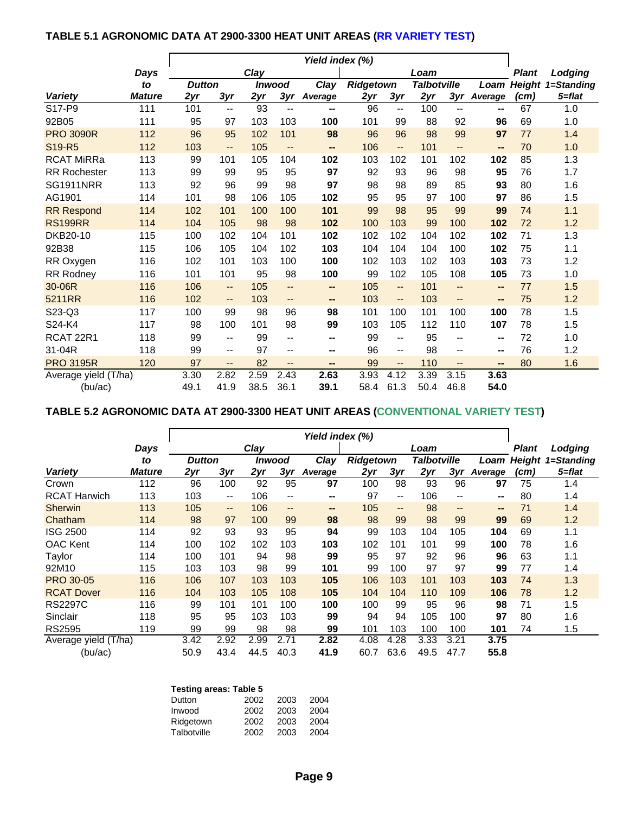# **TABLE 5.1 AGRONOMIC DATA AT 2900-3300 HEAT UNIT AREAS (RR VARIETY TEST)**

|                      |               | Yield index (%) |        |      |                          |                |                  |                          |                    |                          |         |                   |            |
|----------------------|---------------|-----------------|--------|------|--------------------------|----------------|------------------|--------------------------|--------------------|--------------------------|---------|-------------------|------------|
|                      | Days          |                 |        | Clay |                          |                |                  |                          | Loam               |                          |         | <b>Plant</b>      | Lodging    |
|                      | to            | <b>Dutton</b>   |        |      | Inwood                   | Clay           | <b>Ridgetown</b> |                          | <b>Talbotville</b> |                          | Loam    | <b>Height</b>     | 1=Standing |
| <b>Variety</b>       | <b>Mature</b> | 2yr             | 3yr    | 2yr  | 3yr                      | <b>Average</b> | 2yr              | 3yr                      | 2yr                | 3yr                      | Average | (c <sub>m</sub> ) | 5=flat     |
| S17-P9               | 111           | 101             | $-$    | 93   | $\overline{\phantom{a}}$ | --             | 96               | $-$                      | 100                | $- -$                    | -−      | 67                | 1.0        |
| 92B05                | 111           | 95              | 97     | 103  | 103                      | 100            | 101              | 99                       | 88                 | 92                       | 96      | 69                | 1.0        |
| <b>PRO 3090R</b>     | 112           | 96              | 95     | 102  | 101                      | 98             | 96               | 96                       | 98                 | 99                       | 97      | 77                | 1.4        |
| S19-R5               | 112           | 103             | --     | 105  | --                       | --             | 106              | $\overline{\phantom{a}}$ | 101                | --                       | --      | 70                | 1.0        |
| <b>RCAT MiRRa</b>    | 113           | 99              | 101    | 105  | 104                      | 102            | 103              | 102                      | 101                | 102                      | 102     | 85                | 1.3        |
| <b>RR Rochester</b>  | 113           | 99              | 99     | 95   | 95                       | 97             | 92               | 93                       | 96                 | 98                       | 95      | 76                | 1.7        |
| <b>SG1911NRR</b>     | 113           | 92              | 96     | 99   | 98                       | 97             | 98               | 98                       | 89                 | 85                       | 93      | 80                | 1.6        |
| AG1901               | 114           | 101             | 98     | 106  | 105                      | 102            | 95               | 95                       | 97                 | 100                      | 97      | 86                | 1.5        |
| <b>RR Respond</b>    | 114           | 102             | 101    | 100  | 100                      | 101            | 99               | 98                       | 95                 | 99                       | 99      | 74                | 1.1        |
| <b>RS199RR</b>       | 114           | 104             | 105    | 98   | 98                       | 102            | 100              | 103                      | 99                 | 100                      | 102     | 72                | 1.2        |
| DKB20-10             | 115           | 100             | 102    | 104  | 101                      | 102            | 102              | 102                      | 104                | 102                      | 102     | 71                | 1.3        |
| 92B38                | 115           | 106             | 105    | 104  | 102                      | 103            | 104              | 104                      | 104                | 100                      | 102     | 75                | 1.1        |
| RR Oxygen            | 116           | 102             | 101    | 103  | 100                      | 100            | 102              | 103                      | 102                | 103                      | 103     | 73                | 1.2        |
| RR Rodney            | 116           | 101             | 101    | 95   | 98                       | 100            | 99               | 102                      | 105                | 108                      | 105     | 73                | 1.0        |
| 30-06R               | 116           | 106             | $-$    | 105  | --                       | --             | 105              | $\overline{\phantom{a}}$ | 101                | --                       | --      | 77                | 1.5        |
| 5211RR               | 116           | 102             | --     | 103  | --                       | --             | 103              | $\overline{\phantom{a}}$ | 103                | $\qquad \qquad -$        | --      | 75                | 1.2        |
| S23-Q3               | 117           | 100             | 99     | 98   | 96                       | 98             | 101              | 100                      | 101                | 100                      | 100     | 78                | 1.5        |
| S24-K4               | 117           | 98              | 100    | 101  | 98                       | 99             | 103              | 105                      | 112                | 110                      | 107     | 78                | 1.5        |
| RCAT 22R1            | 118           | 99              | $-$    | 99   | $-$                      | --             | 99               | $\overline{\phantom{m}}$ | 95                 | $\overline{\phantom{m}}$ | --      | 72                | 1.0        |
| 31-04R               | 118           | 99              | $-\,-$ | 97   | $\overline{\phantom{a}}$ | --             | 96               | --                       | 98                 | --                       | --      | 76                | 1.2        |
| <b>PRO 3195R</b>     | 120           | 97              | --     | 82   | $\qquad \qquad -$        | --             | 99               | --                       | 110                | --                       | --      | 80                | 1.6        |
| Average yield (T/ha) |               | 3.30            | 2.82   | 2.59 | 2.43                     | 2.63           | 3.93             | 4.12                     | 3.39               | 3.15                     | 3.63    |                   |            |
| (bu/ac)              |               | 49.1            | 41.9   | 38.5 | 36.1                     | 39.1           | 58.4             | 61.3                     | 50.4               | 46.8                     | 54.0    |                   |            |

# **TABLE 5.2 AGRONOMIC DATA AT 2900-3300 HEAT UNIT AREAS (CONVENTIONAL VARIETY TEST)**

|                      |               | Yield index (%) |                          |      |                          |         |           |                          |                    |                              |                          |               |            |
|----------------------|---------------|-----------------|--------------------------|------|--------------------------|---------|-----------|--------------------------|--------------------|------------------------------|--------------------------|---------------|------------|
|                      | Days          |                 |                          | Clav |                          |         |           |                          | Loam               |                              |                          | Plant         | Lodging    |
|                      | to            | <b>Dutton</b>   |                          |      | Inwood                   | Clay    | Ridgetown |                          | <b>Talbotville</b> |                              | Loam                     | <b>Height</b> | 1=Standing |
| <b>Variety</b>       | <b>Mature</b> | 2yr             | 3yr                      | 2yr  | 3yr                      | Average | 2yr       | 3yr                      | 2yr                | 3yr                          | Average                  | (cm)          | 5=flat     |
| Crown                | 112           | 96              | 100                      | 92   | 95                       | 97      | 100       | 98                       | 93                 | 96                           | 97                       | 75            | 1.4        |
| <b>RCAT Harwich</b>  | 113           | 103             | $\overline{\phantom{m}}$ | 106  | $\overline{\phantom{m}}$ | --      | 97        | $\overline{\phantom{m}}$ | 106                | $\qquad \qquad -$            | --                       | 80            | 1.4        |
| Sherwin              | 113           | 105             | $\overline{\phantom{a}}$ | 106  | $\qquad \qquad \cdots$   | --      | 105       | $\qquad \qquad -$        | 98                 | $\qquad \qquad \blacksquare$ | $\overline{\phantom{a}}$ | 71            | 1.4        |
| Chatham              | 114           | 98              | 97                       | 100  | 99                       | 98      | 98        | 99                       | 98                 | 99                           | 99                       | 69            | 1.2        |
| <b>ISG 2500</b>      | 114           | 92              | 93                       | 93   | 95                       | 94      | 99        | 103                      | 104                | 105                          | 104                      | 69            | 1.1        |
| OAC Kent             | 114           | 100             | 102                      | 102  | 103                      | 103     | 102       | 101                      | 101                | 99                           | 100                      | 78            | 1.6        |
| Taylor               | 114           | 100             | 101                      | 94   | 98                       | 99      | 95        | 97                       | 92                 | 96                           | 96                       | 63            | 1.1        |
| 92M10                | 115           | 103             | 103                      | 98   | 99                       | 101     | 99        | 100                      | 97                 | 97                           | 99                       | 77            | 1.4        |
| <b>PRO 30-05</b>     | 116           | 106             | 107                      | 103  | 103                      | 105     | 106       | 103                      | 101                | 103                          | 103                      | 74            | 1.3        |
| <b>RCAT Dover</b>    | 116           | 104             | 103                      | 105  | 108                      | 105     | 104       | 104                      | 110                | 109                          | 106                      | 78            | 1.2        |
| <b>RS2297C</b>       | 116           | 99              | 101                      | 101  | 100                      | 100     | 100       | 99                       | 95                 | 96                           | 98                       | 71            | 1.5        |
| Sinclair             | 118           | 95              | 95                       | 103  | 103                      | 99      | 94        | 94                       | 105                | 100                          | 97                       | 80            | 1.6        |
| RS2595               | 119           | 99              | 99                       | 98   | 98                       | 99      | 101       | 103                      | 100                | 100                          | 101                      | 74            | 1.5        |
| Average yield (T/ha) |               | 3.42            | 2.92                     | 2.99 | 2.71                     | 2.82    | 4.08      | 4.28                     | 3.33               | 3.21                         | 3.75                     |               |            |
| (bu/ac)              |               | 50.9            | 43.4                     | 44.5 | 40.3                     | 41.9    | 60.7      | 63.6                     | 49.5               | 47.7                         | 55.8                     |               |            |

| <b>Testing areas: Table 5</b> |      |      |      |  |  |  |  |  |  |  |  |
|-------------------------------|------|------|------|--|--|--|--|--|--|--|--|
| Dutton                        | 2002 | 2003 | 2004 |  |  |  |  |  |  |  |  |
| Inwood                        | 2002 | 2003 | 2004 |  |  |  |  |  |  |  |  |
| Ridgetown                     | 2002 | 2003 | 2004 |  |  |  |  |  |  |  |  |
| Talbotville                   | 2002 | 2003 | 2004 |  |  |  |  |  |  |  |  |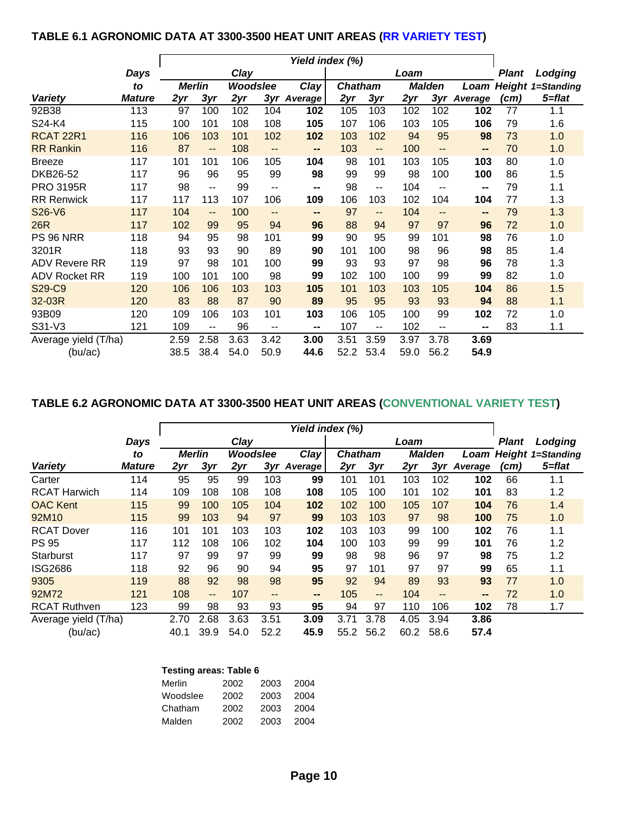# **TABLE 6.1 AGRONOMIC DATA AT 3300-3500 HEAT UNIT AREAS (RR VARIETY TEST)**

|                      |               | Yield index (%) |                          |          |      |         |                |                              |      |                   |                          |       |                          |
|----------------------|---------------|-----------------|--------------------------|----------|------|---------|----------------|------------------------------|------|-------------------|--------------------------|-------|--------------------------|
|                      | Days          |                 |                          | Clay     |      |         |                |                              | Loam |                   |                          | Plant | Lodging                  |
|                      | to            | <b>Merlin</b>   |                          | Woodslee |      | Clay    | <b>Chatham</b> |                              |      | <b>Malden</b>     | Loam                     |       | <b>Height 1=Standing</b> |
| <b>Variety</b>       | <b>Mature</b> | 2yr             | 3yr                      | 2yr      | 3yr  | Average | 2yr            | 3yr                          | 2yr  | 3yr               | Average                  | (cm)  | 5=flat                   |
| 92B38                | 113           | 97              | 100                      | 102      | 104  | 102     | 105            | 103                          | 102  | 102               | 102                      | 77    | 1.1                      |
| S24-K4               | 115           | 100             | 101                      | 108      | 108  | 105     | 107            | 106                          | 103  | 105               | 106                      | 79    | 1.6                      |
| <b>RCAT 22R1</b>     | 116           | 106             | 103                      | 101      | 102  | 102     | 103            | 102                          | 94   | 95                | 98                       | 73    | 1.0                      |
| <b>RR Rankin</b>     | 116           | 87              | $\overline{\phantom{a}}$ | 108      | --   | --      | 103            | $\qquad \qquad \blacksquare$ | 100  | $-$               | --                       | 70    | 1.0                      |
| <b>Breeze</b>        | 117           | 101             | 101                      | 106      | 105  | 104     | 98             | 101                          | 103  | 105               | 103                      | 80    | 1.0                      |
| DKB26-52             | 117           | 96              | 96                       | 95       | 99   | 98      | 99             | 99                           | 98   | 100               | 100                      | 86    | 1.5                      |
| <b>PRO 3195R</b>     | 117           | 98              | $\overline{\phantom{a}}$ | 99       | --   | --      | 98             | $\sim$                       | 104  | $\sim$ $\sim$     | $\overline{\phantom{a}}$ | 79    | 1.1                      |
| <b>RR Renwick</b>    | 117           | 117             | 113                      | 107      | 106  | 109     | 106            | 103                          | 102  | 104               | 104                      | 77    | 1.3                      |
| S26-V6               | 117           | 104             | $\overline{\phantom{a}}$ | 100      | --   | --      | 97             | $\qquad \qquad \blacksquare$ | 104  | $\qquad \qquad -$ | $\overline{\phantom{a}}$ | 79    | 1.3                      |
| 26R                  | 117           | 102             | 99                       | 95       | 94   | 96      | 88             | 94                           | 97   | 97                | 96                       | 72    | 1.0                      |
| <b>PS 96 NRR</b>     | 118           | 94              | 95                       | 98       | 101  | 99      | 90             | 95                           | 99   | 101               | 98                       | 76    | 1.0                      |
| 3201R                | 118           | 93              | 93                       | 90       | 89   | 90      | 101            | 100                          | 98   | 96                | 98                       | 85    | 1.4                      |
| <b>ADV Revere RR</b> | 119           | 97              | 98                       | 101      | 100  | 99      | 93             | 93                           | 97   | 98                | 96                       | 78    | 1.3                      |
| <b>ADV Rocket RR</b> | 119           | 100             | 101                      | 100      | 98   | 99      | 102            | 100                          | 100  | 99                | 99                       | 82    | 1.0                      |
| S29-C9               | 120           | 106             | 106                      | 103      | 103  | 105     | 101            | 103                          | 103  | 105               | 104                      | 86    | 1.5                      |
| 32-03R               | 120           | 83              | 88                       | 87       | 90   | 89      | 95             | 95                           | 93   | 93                | 94                       | 88    | 1.1                      |
| 93B09                | 120           | 109             | 106                      | 103      | 101  | 103     | 106            | 105                          | 100  | 99                | 102                      | 72    | 1.0                      |
| S31-V3               | 121           | 109             | --                       | 96       | --   | --      | 107            | $\sim$ $\sim$                | 102  | $\sim$ $\sim$     | $\sim$                   | 83    | 1.1                      |
| Average yield (T/ha) |               | 2.59            | 2.58                     | 3.63     | 3.42 | 3.00    | 3.51           | 3.59                         | 3.97 | 3.78              | 3.69                     |       |                          |
| (bu/ac)              |               | 38.5            | 38.4                     | 54.0     | 50.9 | 44.6    | 52.2           | 53.4                         | 59.0 | 56.2              | 54.9                     |       |                          |

# **TABLE 6.2 AGRONOMIC DATA AT 3300-3500 HEAT UNIT AREAS (CONVENTIONAL VARIETY TEST)**

|                      |               | Yield index (%) |                   |          |       |         |                |                              |      |               |         |              |                               |
|----------------------|---------------|-----------------|-------------------|----------|-------|---------|----------------|------------------------------|------|---------------|---------|--------------|-------------------------------|
|                      | Days          |                 |                   | Clay     |       |         |                |                              | Loam |               |         | <b>Plant</b> | Lodging                       |
|                      | to            | <b>Merlin</b>   |                   | Woodslee |       | Clay    | <b>Chatham</b> |                              |      | <b>Malden</b> |         |              | <b>Loam Height 1=Standing</b> |
| <b>Variety</b>       | <b>Mature</b> | 2yr             | 3yr               | 2yr      | 3yr   | Average | 2yr            | 3yr                          | 2yr  | 3yr           | Average | (cm)         | 5=flat                        |
| Carter               | 114           | 95              | 95                | 99       | 103   | 99      | 101            | 101                          | 103  | 102           | 102     | 66           | 1.1                           |
| <b>RCAT Harwich</b>  | 114           | 109             | 108               | 108      | 108   | 108     | 105            | 100                          | 101  | 102           | 101     | 83           | 1.2                           |
| <b>OAC Kent</b>      | 115           | 99              | 100               | 105      | 104   | 102     | 102            | 100                          | 105  | 107           | 104     | 76           | 1.4                           |
| 92M10                | 115           | 99              | 103               | 94       | 97    | 99      | 103            | 103                          | 97   | 98            | 100     | 75           | 1.0                           |
| <b>RCAT Dover</b>    | 116           | 101             | 101               | 103      | 103   | 102     | 103            | 103                          | 99   | 100           | 102     | 76           | 1.1                           |
| <b>PS 95</b>         | 117           | 112             | 108               | 106      | 102   | 104     | 100            | 103                          | 99   | 99            | 101     | 76           | 1.2                           |
| Starburst            | 117           | 97              | 99                | 97       | 99    | 99      | 98             | 98                           | 96   | 97            | 98      | 75           | 1.2                           |
| <b>ISG2686</b>       | 118           | 92              | 96                | 90       | 94    | 95      | 97             | 101                          | 97   | 97            | 99      | 65           | 1.1                           |
| 9305                 | 119           | 88              | 92                | 98       | 98    | 95      | 92             | 94                           | 89   | 93            | 93      | 77           | 1.0                           |
| 92M72                | 121           | 108             | $\qquad \qquad -$ | 107      | $- -$ | --      | 105            | $\qquad \qquad \blacksquare$ | 104  | --            | --      | 72           | 1.0                           |
| <b>RCAT Ruthven</b>  | 123           | 99              | 98                | 93       | 93    | 95      | 94             | 97                           | 110  | 106           | 102     | 78           | 1.7                           |
| Average yield (T/ha) |               | 2.70            | 2.68              | 3.63     | 3.51  | 3.09    | 3.71           | 3.78                         | 4.05 | 3.94          | 3.86    |              |                               |
| (bu/ac)              |               | 40.1            | 39.9              | 54.0     | 52.2  | 45.9    | 55.2           | 56.2                         | 60.2 | 58.6          | 57.4    |              |                               |

| <b>Testing areas: Table 6</b> |      |      |      |  |  |  |  |  |  |
|-------------------------------|------|------|------|--|--|--|--|--|--|
| Merlin                        | 2002 | 2003 | 2004 |  |  |  |  |  |  |
| Woodslee                      | 2002 | 2003 | 2004 |  |  |  |  |  |  |
| Chatham                       | 2002 | 2003 | 2004 |  |  |  |  |  |  |
| Malden                        | 2002 | 2003 | 2004 |  |  |  |  |  |  |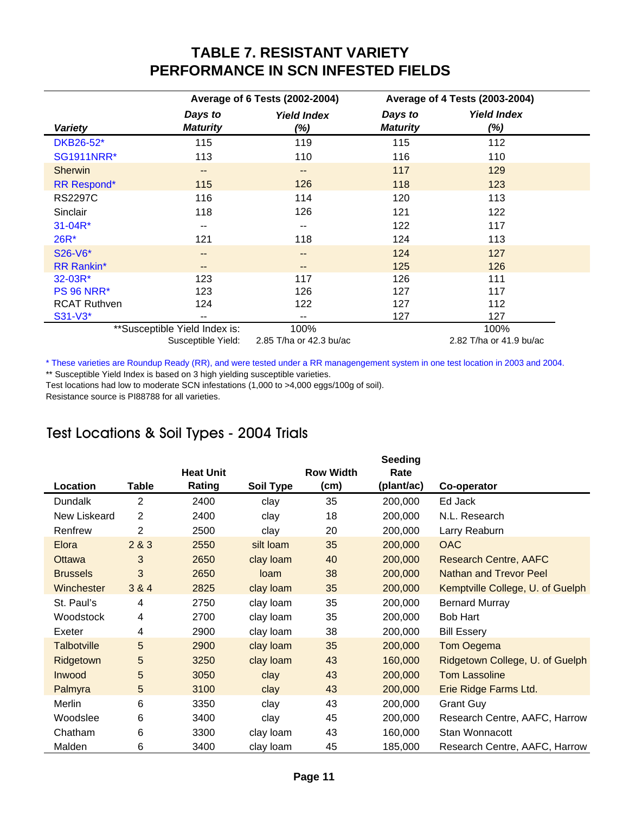# **TABLE 7. RESISTANT VARIETY PERFORMANCE IN SCN INFESTED FIELDS**

|                     |                               | Average of 6 Tests (2002-2004) |                            | Average of 4 Tests (2003-2004) |
|---------------------|-------------------------------|--------------------------------|----------------------------|--------------------------------|
| <b>Variety</b>      | Days to<br><b>Maturity</b>    | <b>Yield Index</b><br>$(\%)$   | Days to<br><b>Maturity</b> | <b>Yield Index</b><br>(%)      |
| DKB26-52*           | 115                           | 119                            | 115                        | 112                            |
| <b>SG1911NRR*</b>   | 113                           | 110                            | 116                        | 110                            |
| <b>Sherwin</b>      | $\overline{\phantom{a}}$      | $- -$                          | 117                        | 129                            |
| <b>RR Respond*</b>  | 115                           | 126                            | 118                        | 123                            |
| <b>RS2297C</b>      | 116                           | 114                            | 120                        | 113                            |
| Sinclair            | 118                           | 126                            | 121                        | 122                            |
| $31 - 04R^*$        | --                            | --                             | 122                        | 117                            |
| 26R*                | 121                           | 118                            | 124                        | 113                            |
| S26-V6*             | $- -$                         | $- -$                          | 124                        | 127                            |
| <b>RR Rankin*</b>   | $- -$                         | --                             | 125                        | 126                            |
| 32-03R*             | 123                           | 117                            | 126                        | 111                            |
| <b>PS 96 NRR*</b>   | 123                           | 126                            | 127                        | 117                            |
| <b>RCAT Ruthven</b> | 124                           | 122                            | 127                        | 112                            |
| S31-V3*             |                               | --                             | 127                        | 127                            |
|                     | **Susceptible Yield Index is: | 100%                           |                            | 100%                           |

Susceptible Yield: 2.82 T/ha or 41.9 bu/ac 2.85 T/ha or 42.3 bu/ac

\* These varieties are Roundup Ready (RR), and were tested under a RR managengement system in one test location in 2003 and 2004. \*\* Susceptible Yield Index is based on 3 high yielding susceptible varieties.

Test locations had low to moderate SCN infestations (1,000 to >4,000 eggs/100g of soil).

Resistance source is PI88788 for all varieties.

# Test Locations & Soil Types - 2004 Trials

|                   |              |                            |                  |                          | <b>Seeding</b>     |                                  |
|-------------------|--------------|----------------------------|------------------|--------------------------|--------------------|----------------------------------|
| Location          | <b>Table</b> | <b>Heat Unit</b><br>Rating | <b>Soil Type</b> | <b>Row Width</b><br>(cm) | Rate<br>(plant/ac) | Co-operator                      |
| <b>Dundalk</b>    | 2            | 2400                       | clay             | 35                       | 200,000            | Ed Jack                          |
| New Liskeard      | 2            | 2400                       | clay             | 18                       | 200,000            | N.L. Research                    |
| Renfrew           | 2            | 2500                       | clay             | 20                       | 200,000            | Larry Reaburn                    |
| Elora             | 2 & 3        | 2550                       | silt loam        | 35                       | 200,000            | <b>OAC</b>                       |
| <b>Ottawa</b>     | 3            | 2650                       | clay loam        | 40                       | 200,000            | <b>Research Centre, AAFC</b>     |
| <b>Brussels</b>   | 3            | 2650                       | loam             | 38                       | 200,000            | Nathan and Trevor Peel           |
| <b>Winchester</b> | 3 & 4        | 2825                       | clay loam        | 35                       | 200,000            | Kemptville College, U. of Guelph |
| St. Paul's        | 4            | 2750                       | clay loam        | 35                       | 200,000            | <b>Bernard Murray</b>            |
| Woodstock         | 4            | 2700                       | clay loam        | 35                       | 200,000            | <b>Bob Hart</b>                  |
| Exeter            | 4            | 2900                       | clay loam        | 38                       | 200,000            | <b>Bill Essery</b>               |
| Talbotville       | 5            | 2900                       | clay loam        | 35                       | 200,000            | Tom Oegema                       |
| Ridgetown         | 5            | 3250                       | clay loam        | 43                       | 160,000            | Ridgetown College, U. of Guelph  |
| Inwood            | 5            | 3050                       | clay             | 43                       | 200,000            | <b>Tom Lassoline</b>             |
| Palmyra           | 5            | 3100                       | clay             | 43                       | 200,000            | Erie Ridge Farms Ltd.            |
| Merlin            | 6            | 3350                       | clay             | 43                       | 200,000            | <b>Grant Guy</b>                 |
| Woodslee          | 6            | 3400                       | clay             | 45                       | 200,000            | Research Centre, AAFC, Harrow    |
| Chatham           | 6            | 3300                       | clay loam        | 43                       | 160,000            | Stan Wonnacott                   |
| Malden            | 6            | 3400                       | clay loam        | 45                       | 185,000            | Research Centre, AAFC, Harrow    |